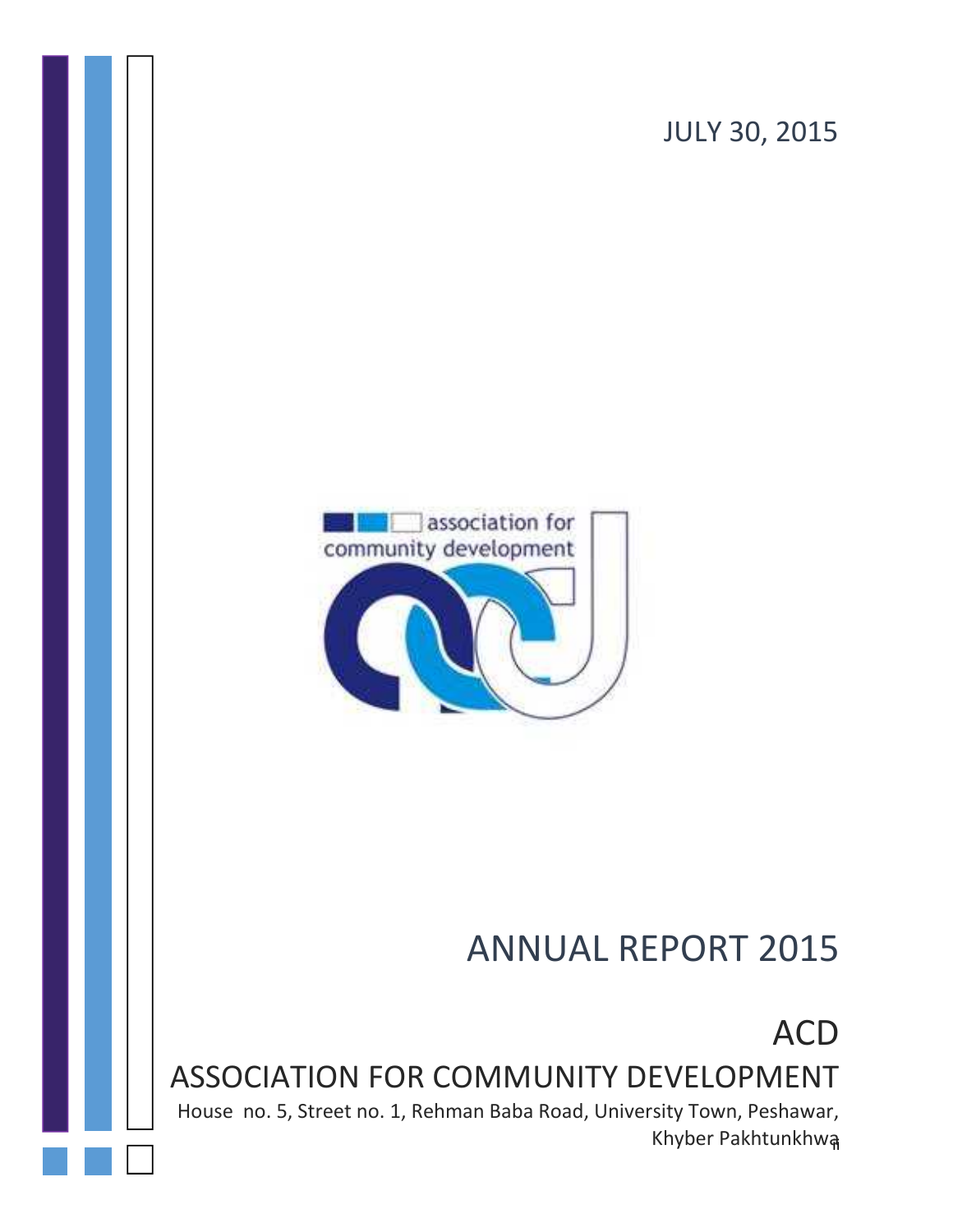



# ANNUAL REPORT 2015

ACD

ASSOCIATION FOR COMMUNITY DEVELOPMENT

Khyber Pakhtunkhwa House no. 5, Street no. 1, Rehman Baba Road, University Town, Peshawar,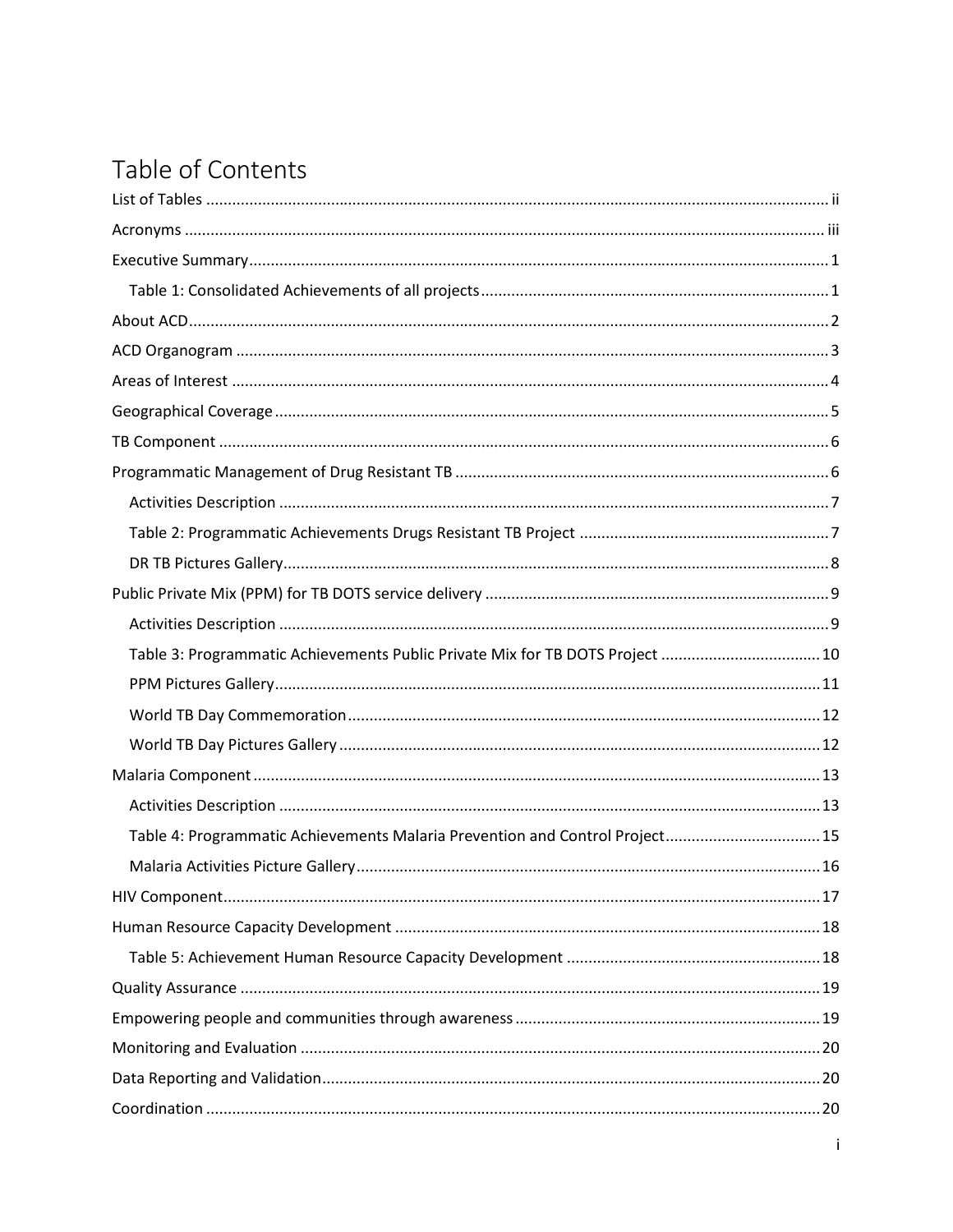# Table of Contents

| Table 3: Programmatic Achievements Public Private Mix for TB DOTS Project 10 |  |
|------------------------------------------------------------------------------|--|
|                                                                              |  |
|                                                                              |  |
|                                                                              |  |
|                                                                              |  |
|                                                                              |  |
| Table 4: Programmatic Achievements Malaria Prevention and Control Project15  |  |
|                                                                              |  |
|                                                                              |  |
|                                                                              |  |
|                                                                              |  |
|                                                                              |  |
|                                                                              |  |
|                                                                              |  |
|                                                                              |  |
|                                                                              |  |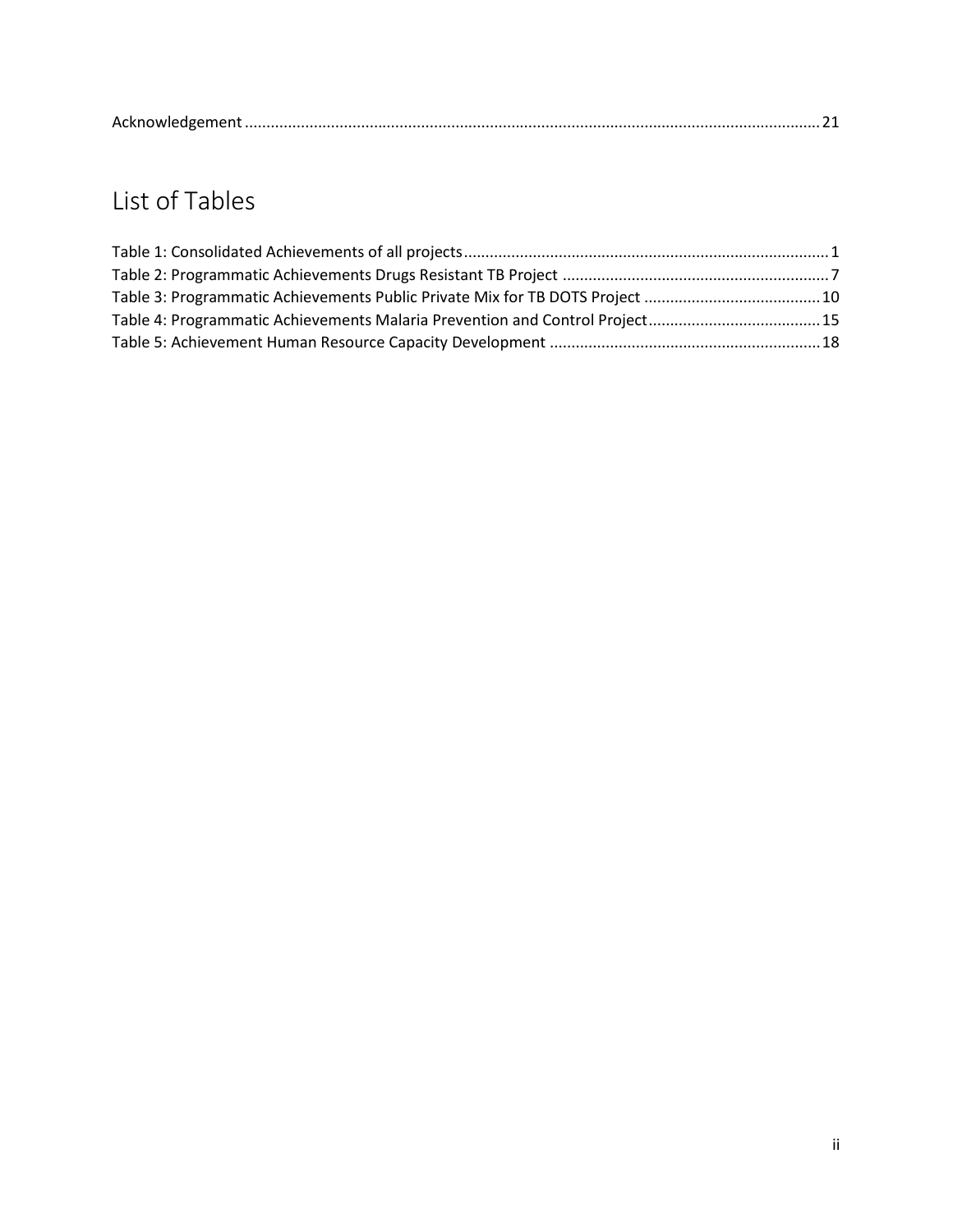| AC |
|----|
|----|

# **List of Tables**

| Table 4: Programmatic Achievements Malaria Prevention and Control Project15 |  |
|-----------------------------------------------------------------------------|--|
|                                                                             |  |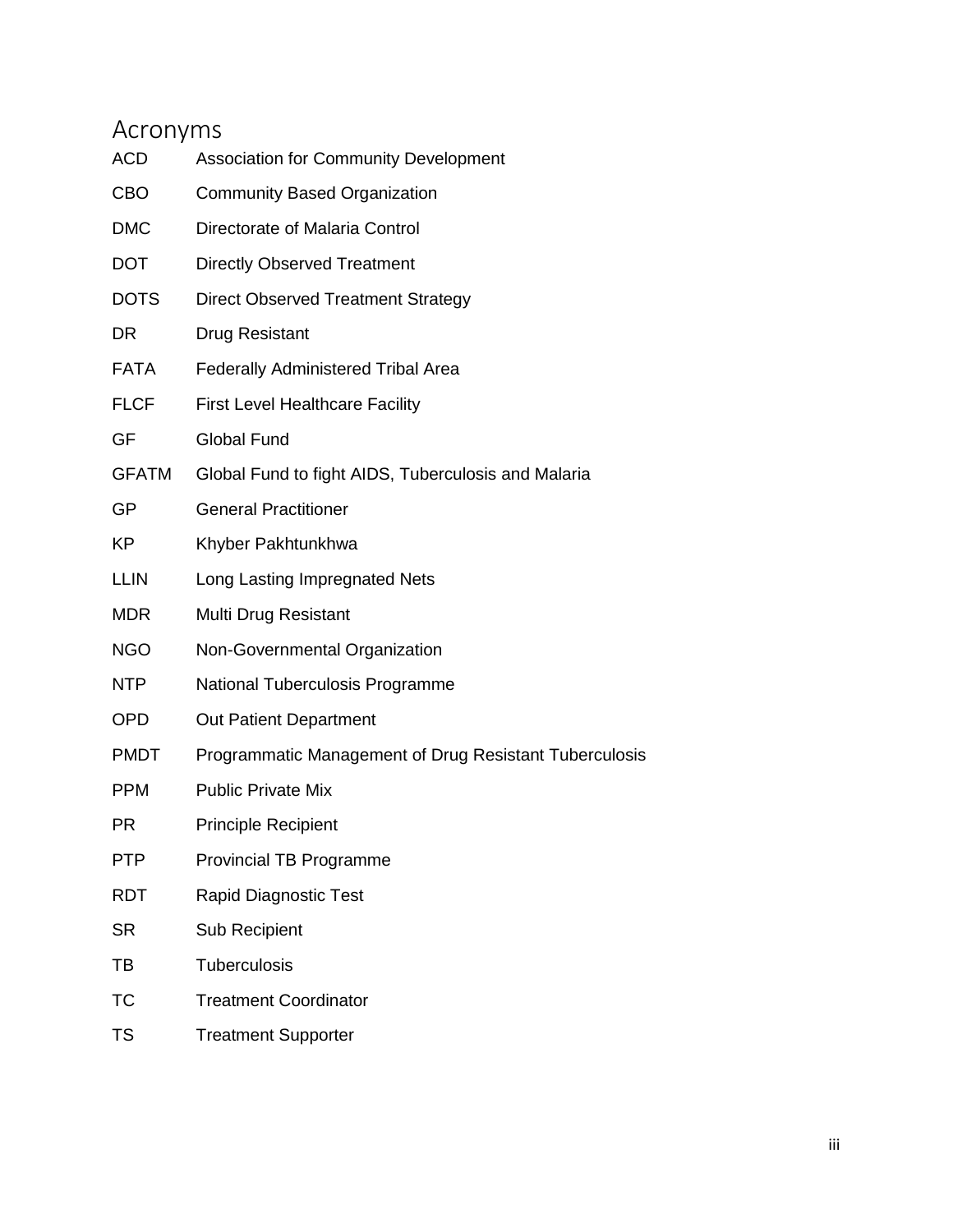# **Acronyms**

| ACD          | <b>Association for Community Development</b>           |
|--------------|--------------------------------------------------------|
| CBO          | <b>Community Based Organization</b>                    |
| <b>DMC</b>   | Directorate of Malaria Control                         |
| <b>DOT</b>   | <b>Directly Observed Treatment</b>                     |
| <b>DOTS</b>  | <b>Direct Observed Treatment Strategy</b>              |
| DR           | <b>Drug Resistant</b>                                  |
| <b>FATA</b>  | <b>Federally Administered Tribal Area</b>              |
| <b>FLCF</b>  | <b>First Level Healthcare Facility</b>                 |
| GF           | <b>Global Fund</b>                                     |
| <b>GFATM</b> | Global Fund to fight AIDS, Tuberculosis and Malaria    |
| GP           | <b>General Practitioner</b>                            |
| ΚP           | Khyber Pakhtunkhwa                                     |
| LLIN         | Long Lasting Impregnated Nets                          |
| <b>MDR</b>   | Multi Drug Resistant                                   |
| <b>NGO</b>   | Non-Governmental Organization                          |
| NTP          | National Tuberculosis Programme                        |
| OPD          | Out Patient Department                                 |
| <b>PMDT</b>  | Programmatic Management of Drug Resistant Tuberculosis |
| <b>PPM</b>   | <b>Public Private Mix</b>                              |
| ΡR           | <b>Principle Recipient</b>                             |
| <b>PTP</b>   | <b>Provincial TB Programme</b>                         |
| RDT          | Rapid Diagnostic Test                                  |
| <b>SR</b>    | Sub Recipient                                          |
| ТВ           | Tuberculosis                                           |
| ТC           | <b>Treatment Coordinator</b>                           |
| TS           | <b>Treatment Supporter</b>                             |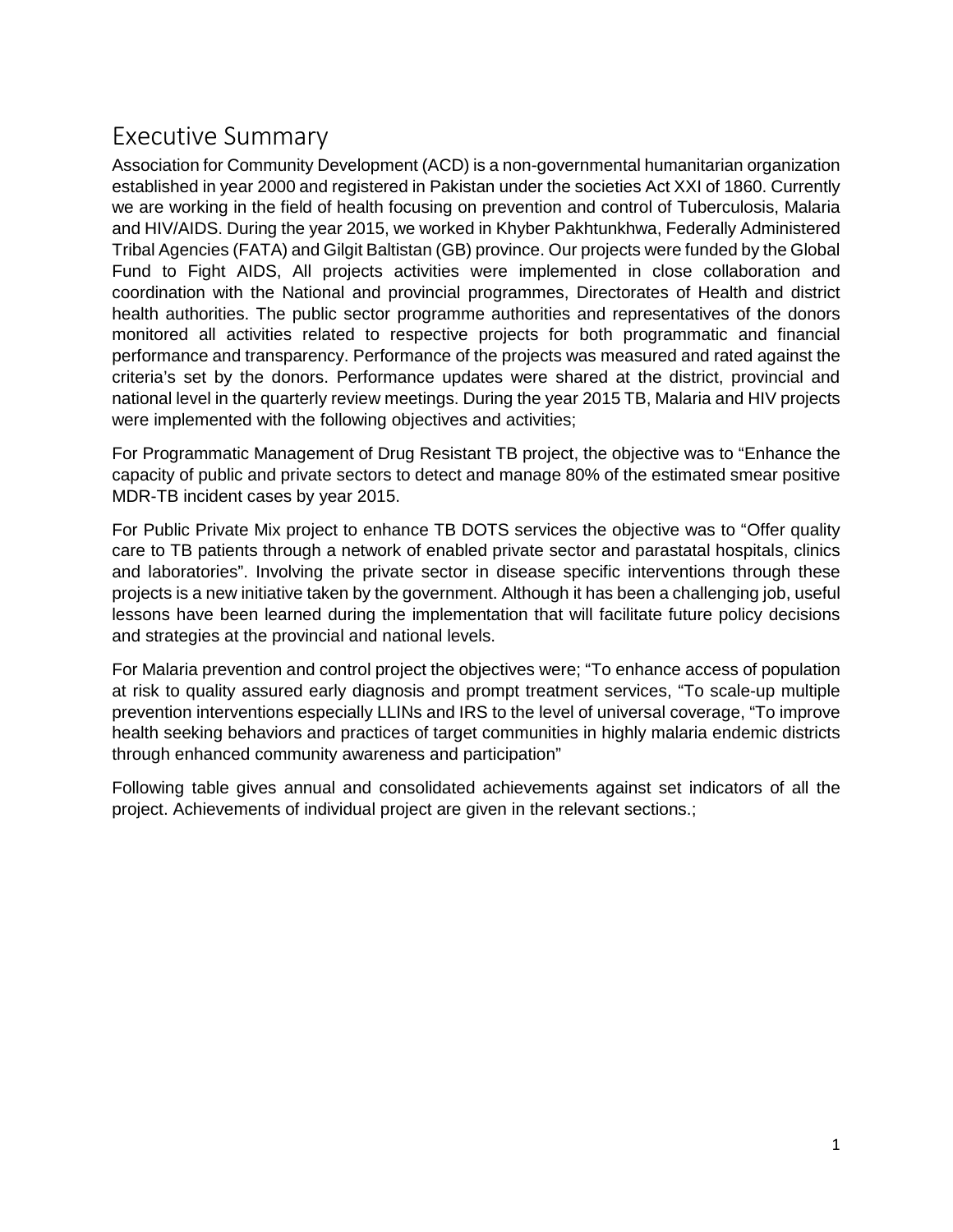### **Executive Summary**

Association for Community Development (ACD) is a non-governmental humanitarian organization established in year 2000 and registered in Pakistan under the societies Act XXI of 1860. Currently we are working in the field of health focusing on prevention and control of Tuberculosis, Malaria and HIV/AIDS. During the year 2015, we worked in Khyber Pakhtunkhwa, Federally Administered Tribal Agencies (FATA) and Gilgit Baltistan (GB) province. Our projects were funded by the Global Fund to Fight AIDS, All projects activities were implemented in close collaboration and coordination with the National and provincial programmes, Directorates of Health and district health authorities. The public sector programme authorities and representatives of the donors monitored all activities related to respective projects for both programmatic and financial performance and transparency. Performance of the projects was measured and rated against the criteria's set by the donors. Performance updates were shared at the district, provincial and national level in the quarterly review meetings. During the year 2015 TB, Malaria and HIV projects were implemented with the following objectives and activities;

For Programmatic Management of Drug Resistant TB project, the objective was to "Enhance the capacity of public and private sectors to detect and manage 80% of the estimated smear positive MDR-TB incident cases by year 2015.

For Public Private Mix project to enhance TB DOTS services the objective was to "Offer quality care to TB patients through a network of enabled private sector and parastatal hospitals, clinics and laboratories". Involving the private sector in disease specific interventions through these projects is a new initiative taken by the government. Although it has been a challenging job, useful lessons have been learned during the implementation that will facilitate future policy decisions and strategies at the provincial and national levels.

For Malaria prevention and control project the objectives were; "To enhance access of population at risk to quality assured early diagnosis and prompt treatment services, "To scale-up multiple prevention interventions especially LLINs and IRS to the level of universal coverage, "To improve health seeking behaviors and practices of target communities in highly malaria endemic districts through enhanced community awareness and participation"

Following table gives annual and consolidated achievements against set indicators of all the project. Achievements of individual project are given in the relevant sections.;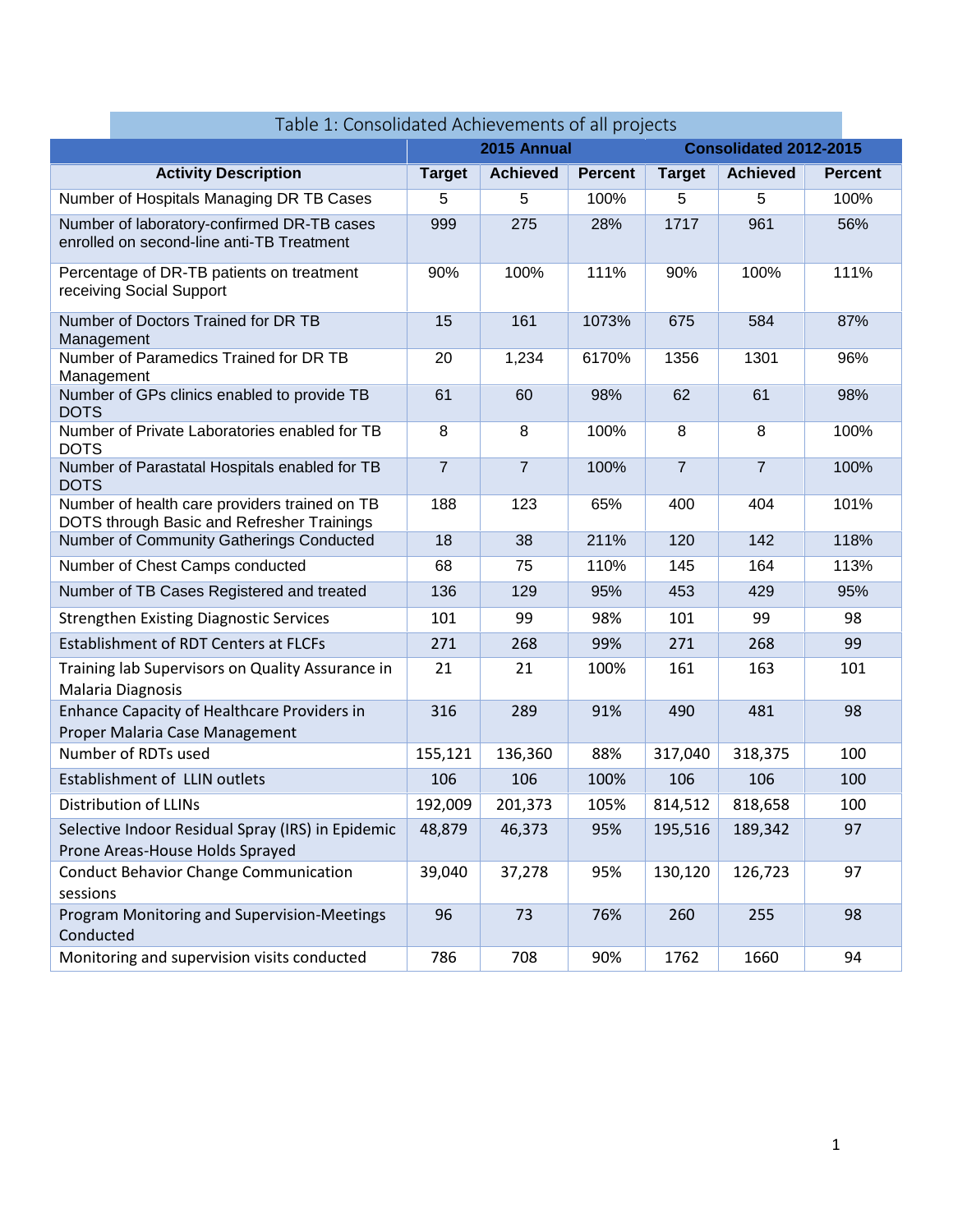| Table 1: Consolidated Achievements of all projects                                          |                |                 |                |                |                               |                |  |  |  |  |  |
|---------------------------------------------------------------------------------------------|----------------|-----------------|----------------|----------------|-------------------------------|----------------|--|--|--|--|--|
|                                                                                             | 2015 Annual    |                 |                |                | <b>Consolidated 2012-2015</b> |                |  |  |  |  |  |
| <b>Activity Description</b>                                                                 | <b>Target</b>  | <b>Achieved</b> | <b>Percent</b> | <b>Target</b>  | <b>Achieved</b>               | <b>Percent</b> |  |  |  |  |  |
| Number of Hospitals Managing DR TB Cases                                                    | 5              | 5               | 100%           | 5              | 5                             | 100%           |  |  |  |  |  |
| Number of laboratory-confirmed DR-TB cases<br>enrolled on second-line anti-TB Treatment     | 999            | 275             | 28%            | 1717           | 961                           | 56%            |  |  |  |  |  |
| Percentage of DR-TB patients on treatment<br>receiving Social Support                       | 90%            | 100%            | 111%           | 90%            | 100%                          | 111%           |  |  |  |  |  |
| Number of Doctors Trained for DR TB<br>Management                                           | 15             | 161             | 1073%          | 675            | 584                           | 87%            |  |  |  |  |  |
| Number of Paramedics Trained for DR TB<br>Management                                        | 20             | 1,234           | 6170%          | 1356           | 1301                          | 96%            |  |  |  |  |  |
| Number of GPs clinics enabled to provide TB<br><b>DOTS</b>                                  | 61             | 60              | 98%            | 62             | 61                            | 98%            |  |  |  |  |  |
| Number of Private Laboratories enabled for TB<br><b>DOTS</b>                                | 8              | 8               | 100%           | 8              | 8                             | 100%           |  |  |  |  |  |
| Number of Parastatal Hospitals enabled for TB<br><b>DOTS</b>                                | $\overline{7}$ | $\overline{7}$  | 100%           | $\overline{7}$ | $\overline{7}$                | 100%           |  |  |  |  |  |
| Number of health care providers trained on TB<br>DOTS through Basic and Refresher Trainings | 188            | 123             | 65%            | 400            | 404                           | 101%           |  |  |  |  |  |
| Number of Community Gatherings Conducted                                                    | 18             | 38              | 211%           | 120            | 142                           | 118%           |  |  |  |  |  |
| Number of Chest Camps conducted                                                             | 68             | 75              | 110%           | 145            | 164                           | 113%           |  |  |  |  |  |
| Number of TB Cases Registered and treated                                                   | 136            | 129             | 95%            | 453            | 429                           | 95%            |  |  |  |  |  |
| <b>Strengthen Existing Diagnostic Services</b>                                              | 101            | 99              | 98%            | 101            | 99                            | 98             |  |  |  |  |  |
| <b>Establishment of RDT Centers at FLCFs</b>                                                | 271            | 268             | 99%            | 271            | 268                           | 99             |  |  |  |  |  |
| Training lab Supervisors on Quality Assurance in<br>Malaria Diagnosis                       | 21             | 21              | 100%           | 161            | 163                           | 101            |  |  |  |  |  |
| Enhance Capacity of Healthcare Providers in<br>Proper Malaria Case Management               | 316            | 289             | 91%            | 490            | 481                           | 98             |  |  |  |  |  |
| Number of RDTs used                                                                         | 155,121        | 136,360         | 88%            | 317,040        | 318,375                       | 100            |  |  |  |  |  |
| Establishment of LLIN outlets                                                               | 106            | 106             | 100%           | 106            | 106                           | 100            |  |  |  |  |  |
| Distribution of LLINs                                                                       | 192,009        | 201,373         | 105%           | 814,512        | 818,658                       | 100            |  |  |  |  |  |
| Selective Indoor Residual Spray (IRS) in Epidemic<br>Prone Areas-House Holds Sprayed        | 48,879         | 46,373          | 95%            | 195,516        | 189,342                       | 97             |  |  |  |  |  |
| <b>Conduct Behavior Change Communication</b><br>sessions                                    | 39,040         | 37,278          | 95%            | 130,120        | 126,723                       | 97             |  |  |  |  |  |
| Program Monitoring and Supervision-Meetings<br>Conducted                                    | 96             | 73              | 76%            | 260            | 255                           | 98             |  |  |  |  |  |
| Monitoring and supervision visits conducted                                                 | 786            | 708             | 90%            | 1762           | 1660                          | 94             |  |  |  |  |  |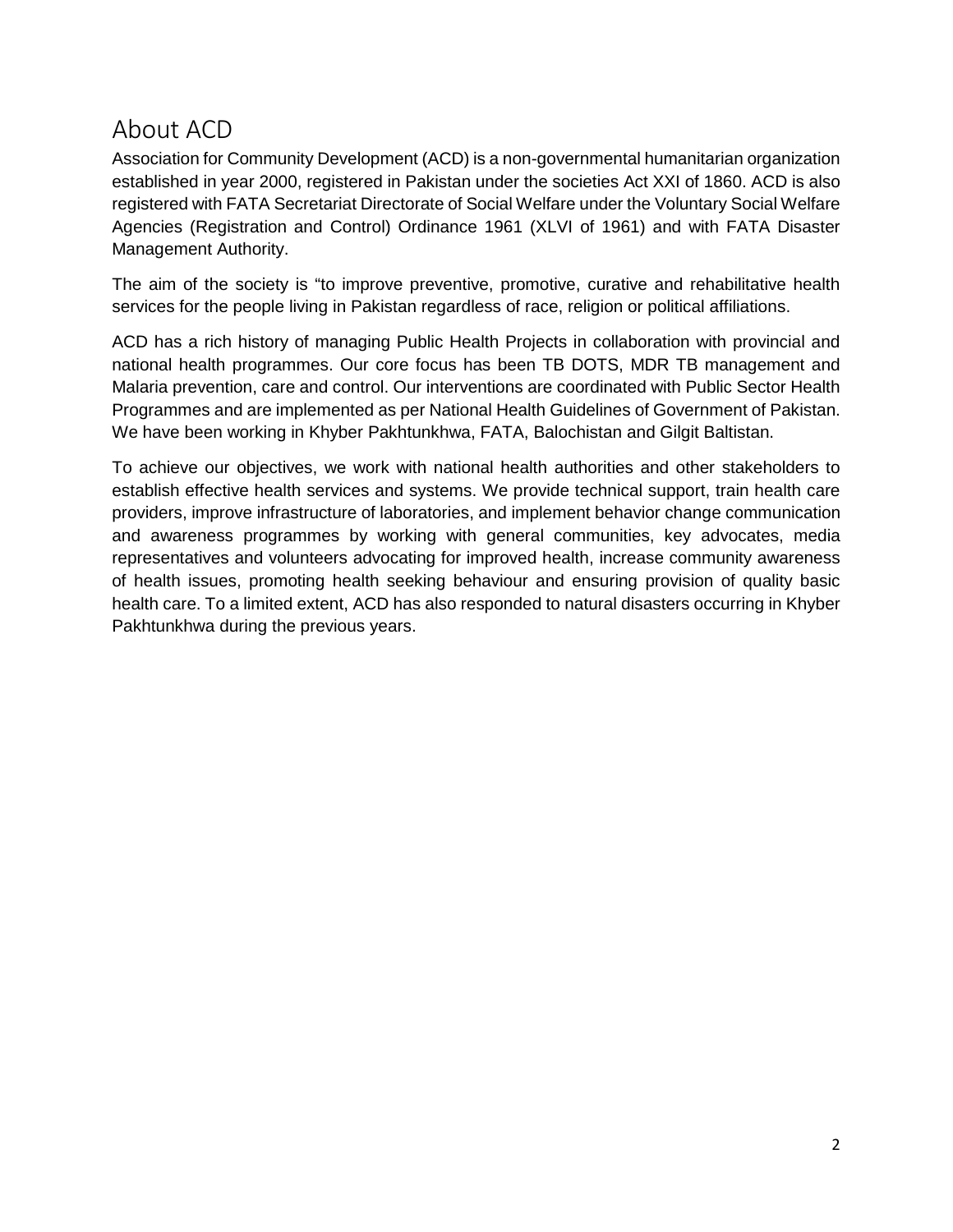### **About ACD**

Association for Community Development (ACD) is a non-governmental humanitarian organization established in year 2000, registered in Pakistan under the societies Act XXI of 1860. ACD is also registered with FATA Secretariat Directorate of Social Welfare under the Voluntary Social Welfare Agencies (Registration and Control) Ordinance 1961 (XLVI of 1961) and with FATA Disaster Management Authority.

The aim of the society is "to improve preventive, promotive, curative and rehabilitative health services for the people living in Pakistan regardless of race, religion or political affiliations.

ACD has a rich history of managing Public Health Projects in collaboration with provincial and national health programmes. Our core focus has been TB DOTS, MDR TB management and Malaria prevention, care and control. Our interventions are coordinated with Public Sector Health Programmes and are implemented as per National Health Guidelines of Government of Pakistan. We have been working in Khyber Pakhtunkhwa, FATA, Balochistan and Gilgit Baltistan.

To achieve our objectives, we work with national health authorities and other stakeholders to establish effective health services and systems. We provide technical support, train health care providers, improve infrastructure of laboratories, and implement behavior change communication and awareness programmes by working with general communities, key advocates, media representatives and volunteers advocating for improved health, increase community awareness of health issues, promoting health seeking behaviour and ensuring provision of quality basic health care. To a limited extent, ACD has also responded to natural disasters occurring in Khyber Pakhtunkhwa during the previous years.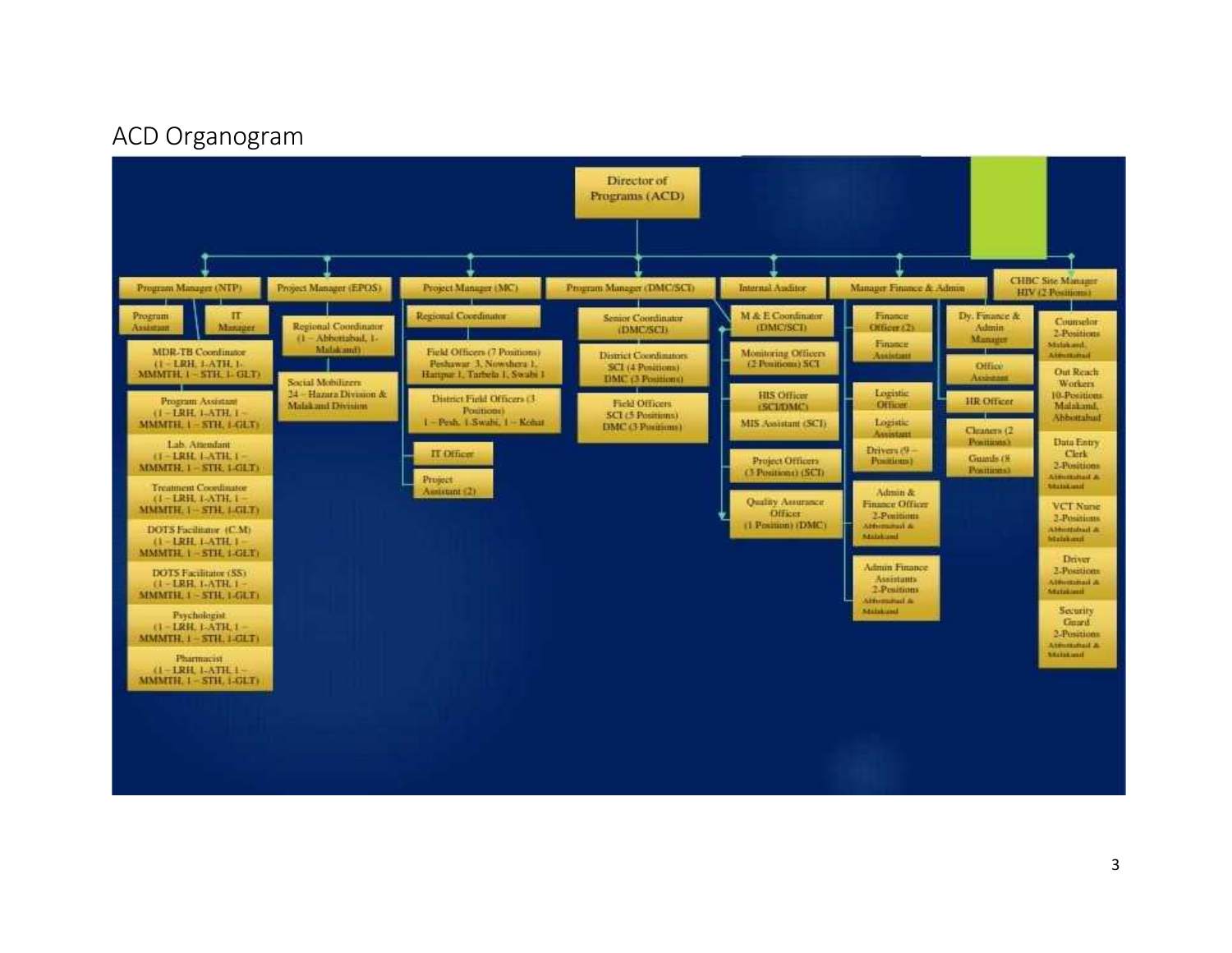### **ACD Organogram**

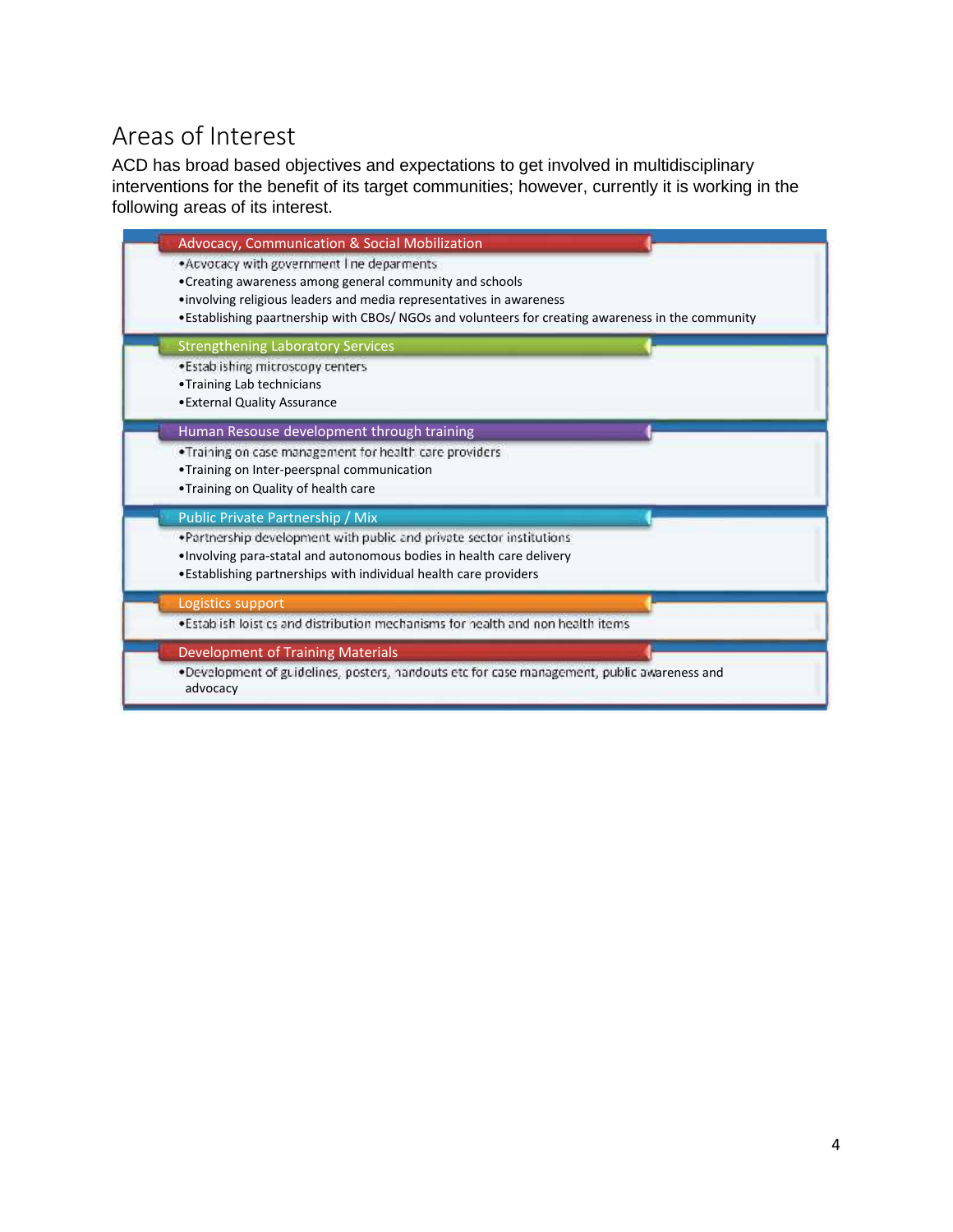# **Areas of Interest**

ACD has broad based objectives and expectations to get involved in multidisciplinary interventions for the benefit of its target communities; however, currently it is working in the following areas of its interest.

| Advocacy, Communication & Social Mobilization                                                                                                                                  |
|--------------------------------------------------------------------------------------------------------------------------------------------------------------------------------|
| . Acvocacy with government I ne deparments<br>• Creating awareness among general community and schools<br>· involving religious leaders and media representatives in awareness |
| •Establishing paartnership with CBOs/ NGOs and volunteers for creating awareness in the community                                                                              |
| <b>Strengthening Laboratory Services</b>                                                                                                                                       |
| . Estab ishing microscopy centers                                                                                                                                              |
| •Training Lab technicians                                                                                                                                                      |
| • External Quality Assurance                                                                                                                                                   |
| Human Resouse development through training                                                                                                                                     |
| .Training on case management for health care providers                                                                                                                         |
| .Training on Inter-peerspnal communication                                                                                                                                     |
| .Training on Quality of health care                                                                                                                                            |
| Public Private Partnership / Mix                                                                                                                                               |
| . Partnership development with public and private sector institutions                                                                                                          |
| . Involving para-statal and autonomous bodies in health care delivery                                                                                                          |
| . Establishing partnerships with individual health care providers                                                                                                              |
| Logistics support                                                                                                                                                              |
| . Establish loistics and distribution mechanisms for health and non health items                                                                                               |
| <b>Development of Training Materials</b>                                                                                                                                       |
| .Development of guidelines, posters, nandouts etc for case management, public awareness and<br>advocacy                                                                        |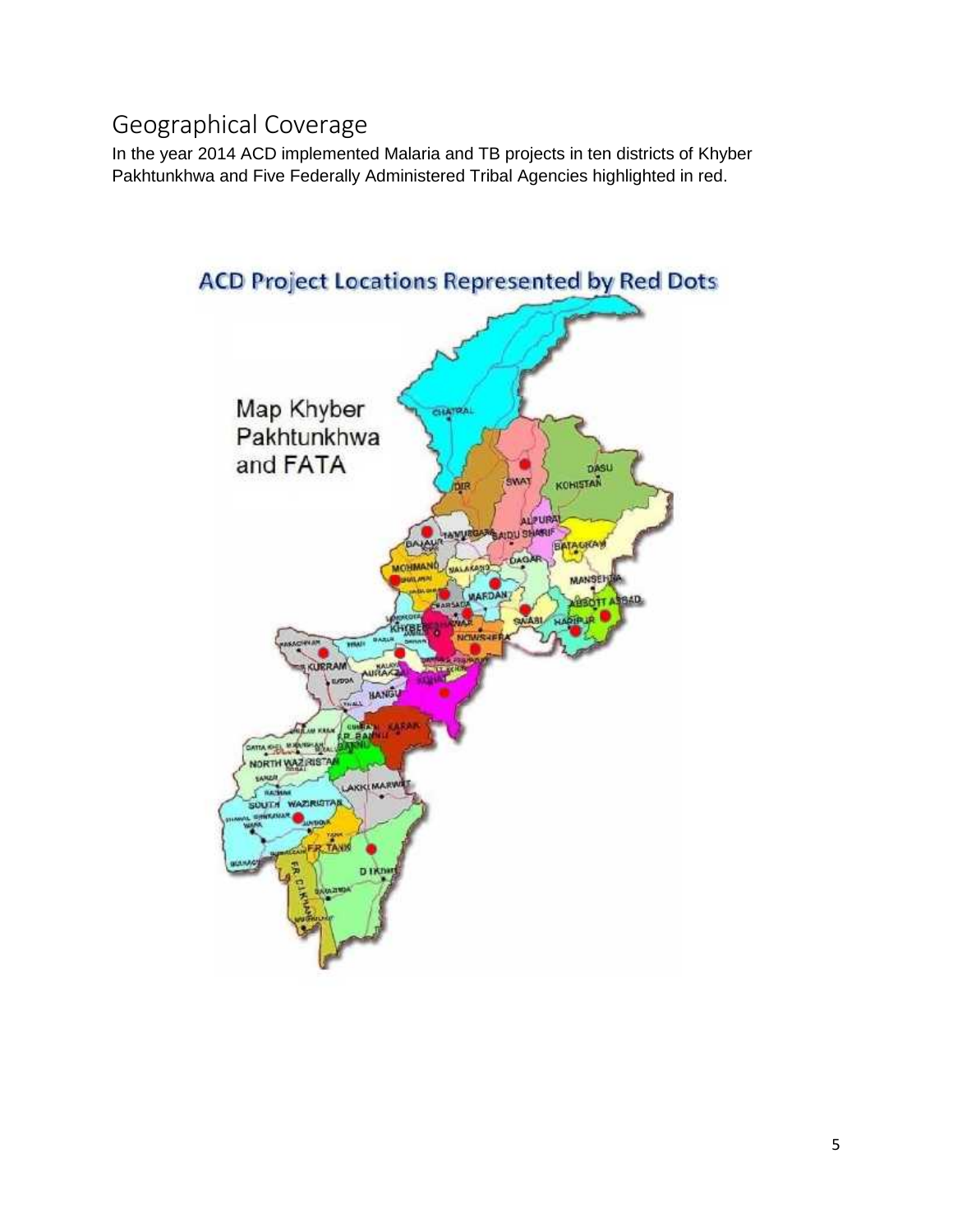### **Geographical Coverage**

In the year 2014 ACD implemented Malaria and TB projects in ten districts of Khyber Pakhtunkhwa and Five Federally Administered Tribal Agencies highlighted in red.

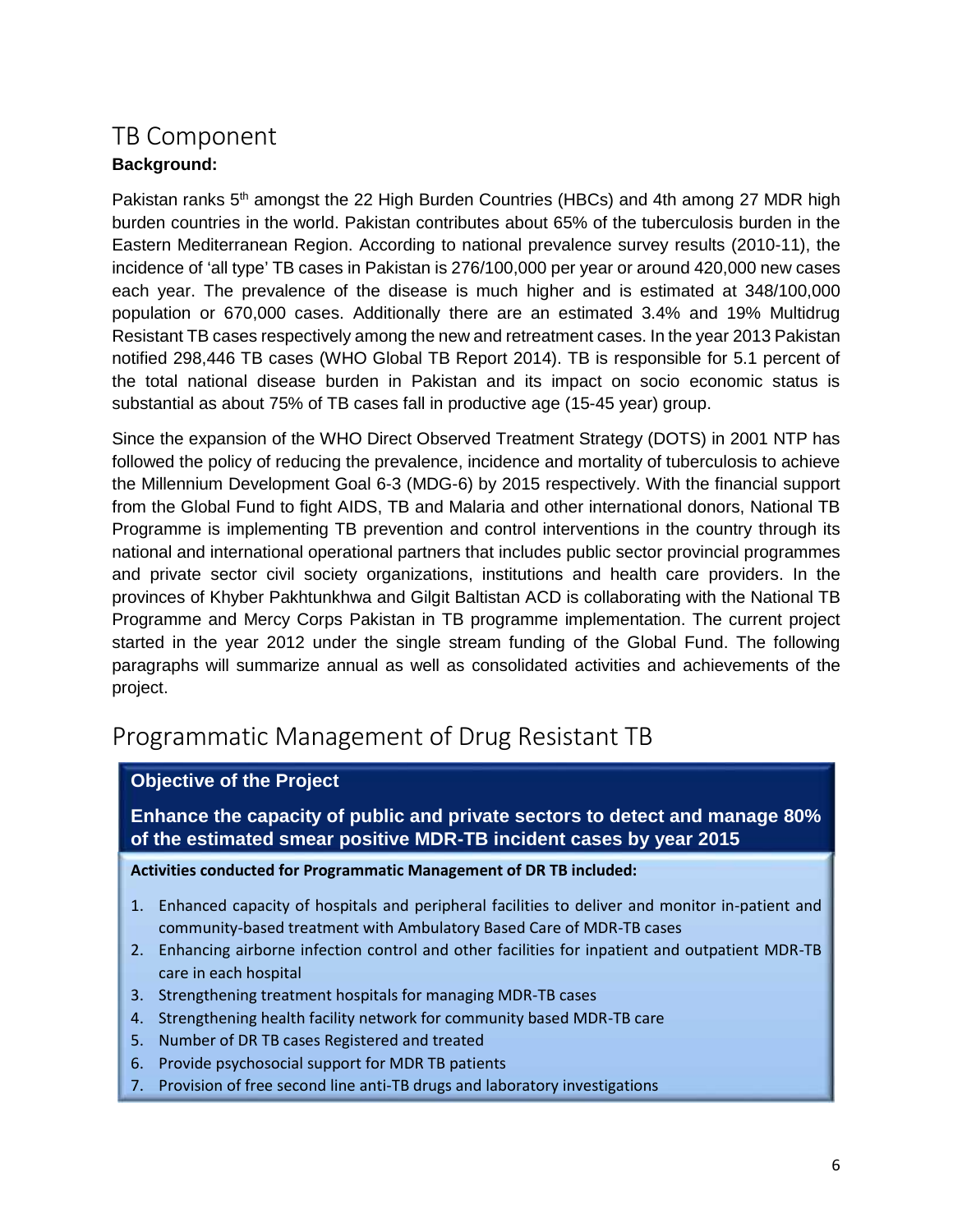### **TB Component Background:**

Pakistan ranks 5<sup>th</sup> amongst the 22 High Burden Countries (HBCs) and 4th among 27 MDR high burden countries in the world. Pakistan contributes about 65% of the tuberculosis burden in the Eastern Mediterranean Region. According to national prevalence survey results (2010-11), the incidence of 'all type' TB cases in Pakistan is 276/100,000 per year or around 420,000 new cases each year. The prevalence of the disease is much higher and is estimated at 348/100,000 population or 670,000 cases. Additionally there are an estimated 3.4% and 19% Multidrug Resistant TB cases respectively among the new and retreatment cases. In the year 2013 Pakistan notified 298,446 TB cases (WHO Global TB Report 2014). TB is responsible for 5.1 percent of the total national disease burden in Pakistan and its impact on socio economic status is substantial as about 75% of TB cases fall in productive age (15-45 year) group.

Since the expansion of the WHO Direct Observed Treatment Strategy (DOTS) in 2001 NTP has followed the policy of reducing the prevalence, incidence and mortality of tuberculosis to achieve the Millennium Development Goal 6-3 (MDG-6) by 2015 respectively. With the financial support from the Global Fund to fight AIDS, TB and Malaria and other international donors, National TB Programme is implementing TB prevention and control interventions in the country through its national and international operational partners that includes public sector provincial programmes and private sector civil society organizations, institutions and health care providers. In the provinces of Khyber Pakhtunkhwa and Gilgit Baltistan ACD is collaborating with the National TB Programme and Mercy Corps Pakistan in TB programme implementation. The current project started in the year 2012 under the single stream funding of the Global Fund. The following paragraphs will summarize annual as well as consolidated activities and achievements of the project.

### **Programmatic Management of Drug Resistant TB**

### **Objective of the Project**

7

**Enhance the capacity of public and private sectors to detect and manage 80% of the estimated smear positive MDR-TB incident cases by year 2015**

#### **Activities conducted for Programmatic Management of DR TB included:**

- 1. Enhanced capacity of hospitals and peripheral facilities to deliver and monitor in-patient and community-based treatment with Ambulatory Based Care of MDR-TB cases
- 2. Enhancing airborne infection control and other facilities for inpatient and outpatient MDR-TB care in each hospital
- 3. Strengthening treatment hospitals for managing MDR-TB cases
- 4. Strengthening health facility network for community based MDR-TB care
- 5. Number of DR TB cases Registered and treated
- 6. Provide psychosocial support for MDR TB patients
- 7. Provision of free second line anti-TB drugs and laboratory investigations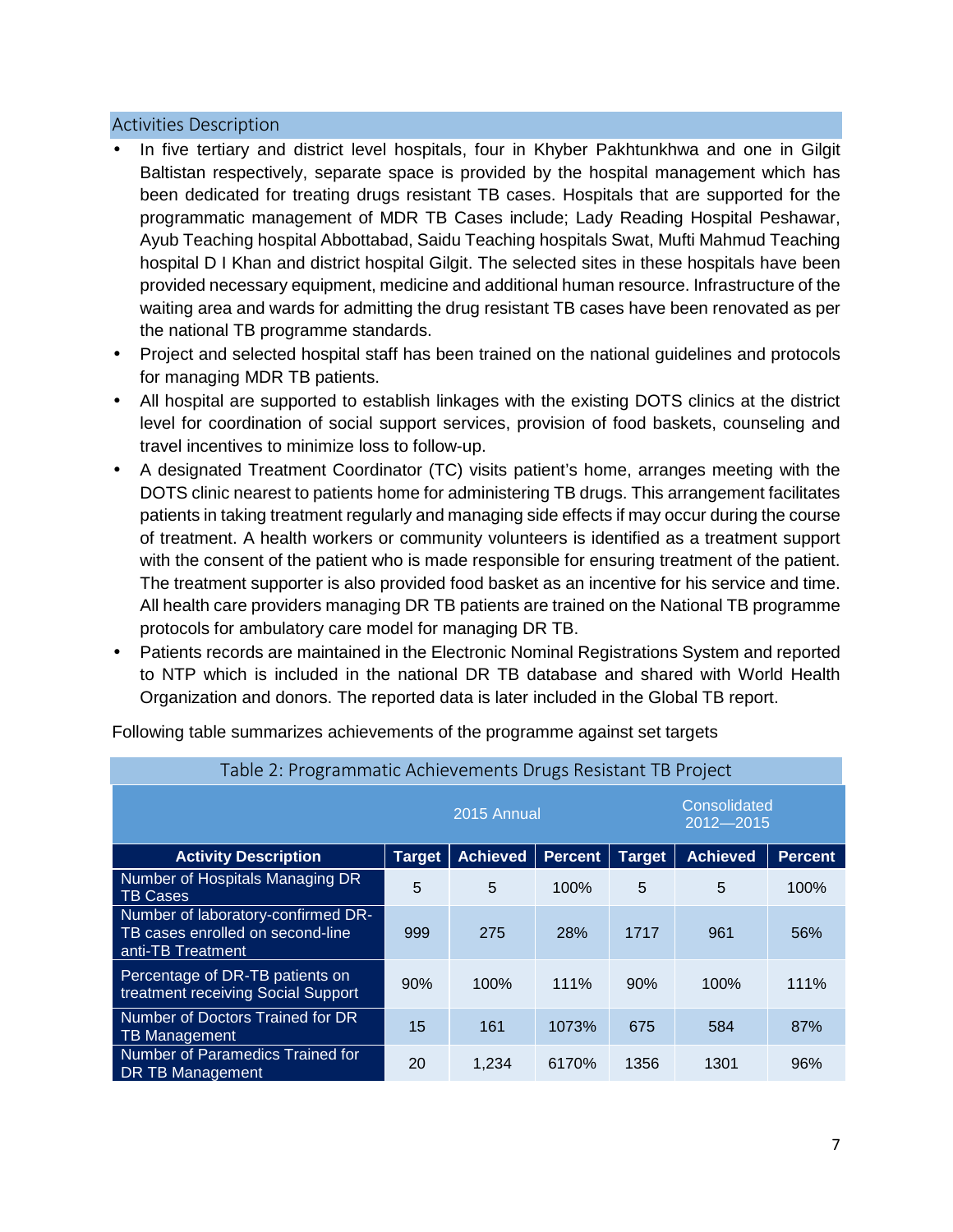#### **Activities Description**

- In five tertiary and district level hospitals, four in Khyber Pakhtunkhwa and one in Gilgit Baltistan respectively, separate space is provided by the hospital management which has been dedicated for treating drugs resistant TB cases. Hospitals that are supported for the programmatic management of MDR TB Cases include; Lady Reading Hospital Peshawar, Ayub Teaching hospital Abbottabad, Saidu Teaching hospitals Swat, Mufti Mahmud Teaching hospital D I Khan and district hospital Gilgit. The selected sites in these hospitals have been provided necessary equipment, medicine and additional human resource. Infrastructure of the waiting area and wards for admitting the drug resistant TB cases have been renovated as per the national TB programme standards.
- Project and selected hospital staff has been trained on the national quidelines and protocols for managing MDR TB patients.
- All hospital are supported to establish linkages with the existing DOTS clinics at the district level for coordination of social support services, provision of food baskets, counseling and travel incentives to minimize loss to follow-up.
- A designated Treatment Coordinator (TC) visits patient's home, arranges meeting with the DOTS clinic nearest to patients home for administering TB drugs. This arrangement facilitates patients in taking treatment regularly and managing side effects if may occur during the course of treatment. A health workers or community volunteers is identified as a treatment support with the consent of the patient who is made responsible for ensuring treatment of the patient. The treatment supporter is also provided food basket as an incentive for his service and time. All health care providers managing DR TB patients are trained on the National TB programme protocols for ambulatory care model for managing DR TB.
- Patients records are maintained in the Electronic Nominal Registrations System and reported to NTP which is included in the national DR TB database and shared with World Health Organization and donors. The reported data is later included in the Global TB report.

| Table 2: Programmatic Achievements Drugs Resistant TB Project                               |                                              |                                                                                         |       |      |      |      |  |  |
|---------------------------------------------------------------------------------------------|----------------------------------------------|-----------------------------------------------------------------------------------------|-------|------|------|------|--|--|
|                                                                                             | Consolidated<br>2015 Annual<br>$2012 - 2015$ |                                                                                         |       |      |      |      |  |  |
| <b>Activity Description</b>                                                                 | <b>Target</b>                                | <b>Achieved</b><br><b>Achieved</b><br><b>Target</b><br><b>Percent</b><br><b>Percent</b> |       |      |      |      |  |  |
| Number of Hospitals Managing DR<br><b>TB Cases</b>                                          | 5                                            | 5                                                                                       | 100%  | 5    | 5    | 100% |  |  |
| Number of laboratory-confirmed DR-<br>TB cases enrolled on second-line<br>anti-TB Treatment | 999                                          | 275                                                                                     | 28%   | 1717 | 961  | 56%  |  |  |
| Percentage of DR-TB patients on<br>treatment receiving Social Support                       | 90%                                          | 100%                                                                                    | 111%  | 90%  | 100% | 111% |  |  |
| Number of Doctors Trained for DR<br><b>TB Management</b>                                    | 15                                           | 161                                                                                     | 1073% | 675  | 584  | 87%  |  |  |
| Number of Paramedics Trained for<br>DR TB Management                                        | 20                                           | 1,234                                                                                   | 6170% | 1356 | 1301 | 96%  |  |  |

Following table summarizes achievements of the programme against set targets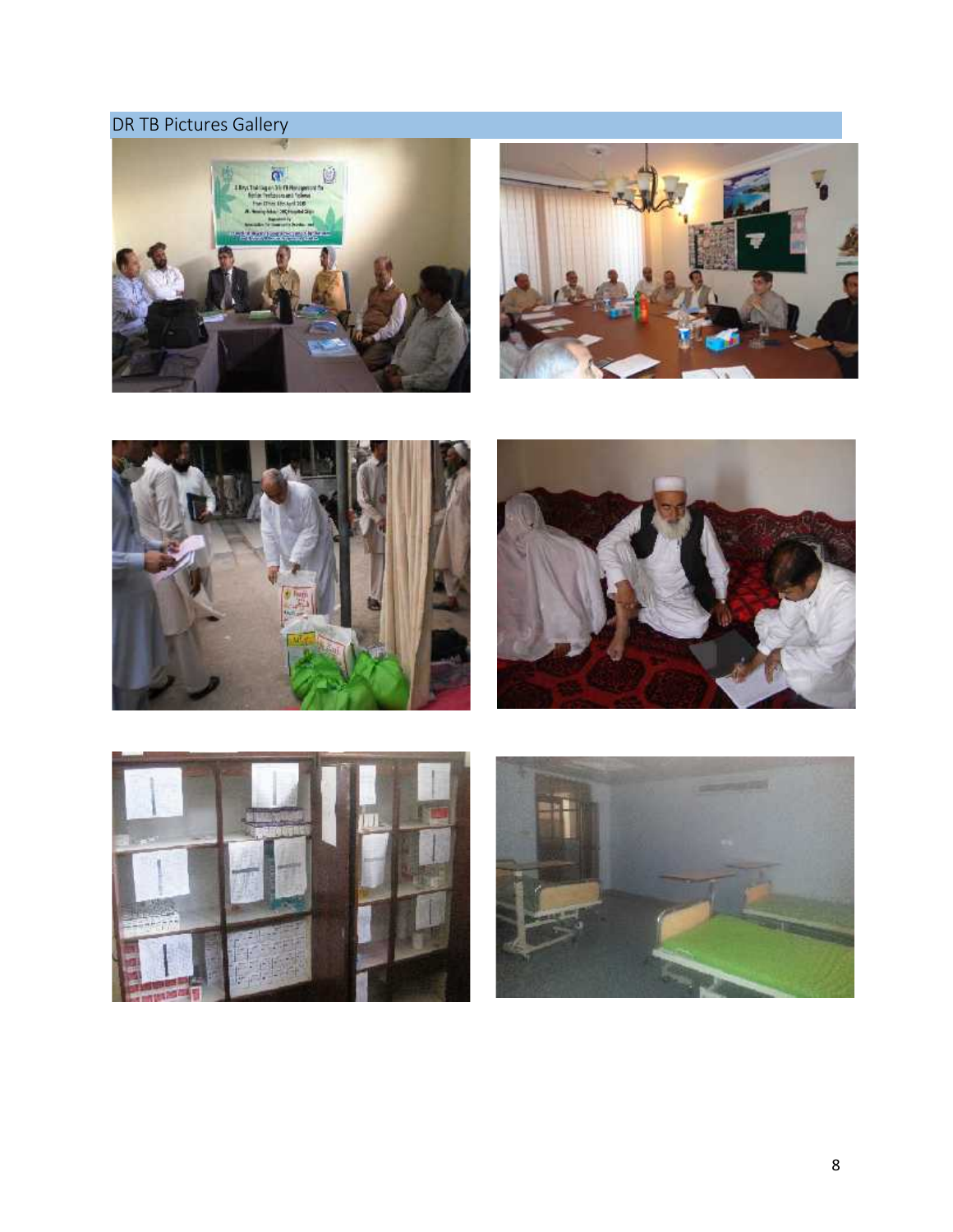### **DR TB Pictures Gallery**











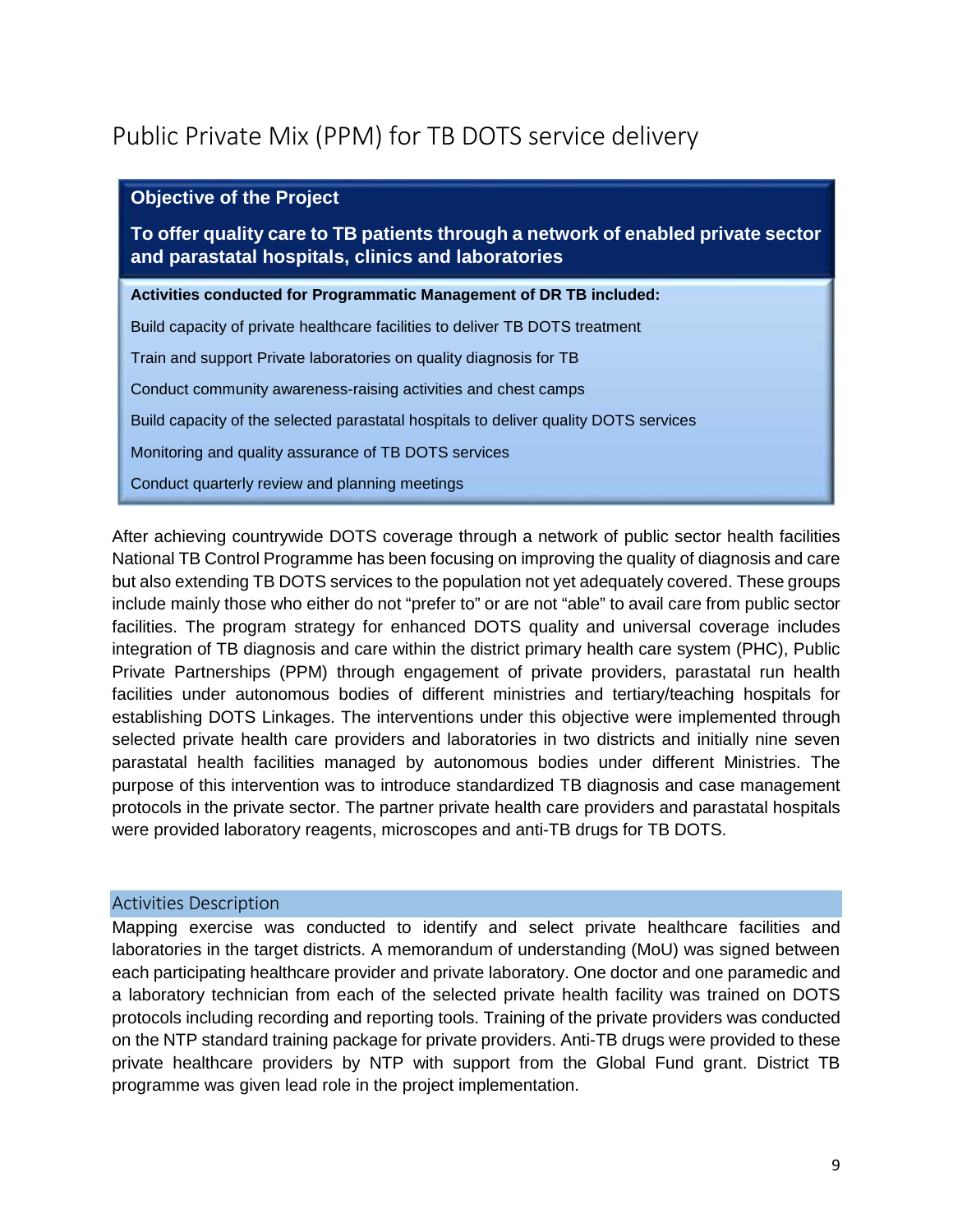# **Public Private Mix (PPM) for TB DOTS service delivery**

| <b>Objective of the Project</b>                                                                                                        |
|----------------------------------------------------------------------------------------------------------------------------------------|
| To offer quality care to TB patients through a network of enabled private sector<br>and parastatal hospitals, clinics and laboratories |
| Activities conducted for Programmatic Management of DR TB included:                                                                    |
| Build capacity of private healthcare facilities to deliver TB DOTS treatment                                                           |
| Train and support Private laboratories on quality diagnosis for TB                                                                     |
| Conduct community awareness-raising activities and chest camps                                                                         |
| Build capacity of the selected parastatal hospitals to deliver quality DOTS services                                                   |
| Monitoring and quality assurance of TB DOTS services                                                                                   |
| Conduct quarterly review and planning meetings                                                                                         |

After achieving countrywide DOTS coverage through a network of public sector health facilities National TB Control Programme has been focusing on improving the quality of diagnosis and care but also extending TB DOTS services to the population not yet adequately covered. These groups include mainly those who either do not "prefer to" or are not "able" to avail care from public sector facilities. The program strategy for enhanced DOTS quality and universal coverage includes integration of TB diagnosis and care within the district primary health care system (PHC), Public Private Partnerships (PPM) through engagement of private providers, parastatal run health facilities under autonomous bodies of different ministries and tertiary/teaching hospitals for establishing DOTS Linkages. The interventions under this objective were implemented through selected private health care providers and laboratories in two districts and initially nine seven parastatal health facilities managed by autonomous bodies under different Ministries. The purpose of this intervention was to introduce standardized TB diagnosis and case management protocols in the private sector. The partner private health care providers and parastatal hospitals were provided laboratory reagents, microscopes and anti-TB drugs for TB DOTS.

#### **Activities Description**

Mapping exercise was conducted to identify and select private healthcare facilities and laboratories in the target districts. A memorandum of understanding (MoU) was signed between each participating healthcare provider and private laboratory. One doctor and one paramedic and a laboratory technician from each of the selected private health facility was trained on DOTS protocols including recording and reporting tools. Training of the private providers was conducted on the NTP standard training package for private providers. Anti-TB drugs were provided to these private healthcare providers by NTP with support from the Global Fund grant. District TB programme was given lead role in the project implementation.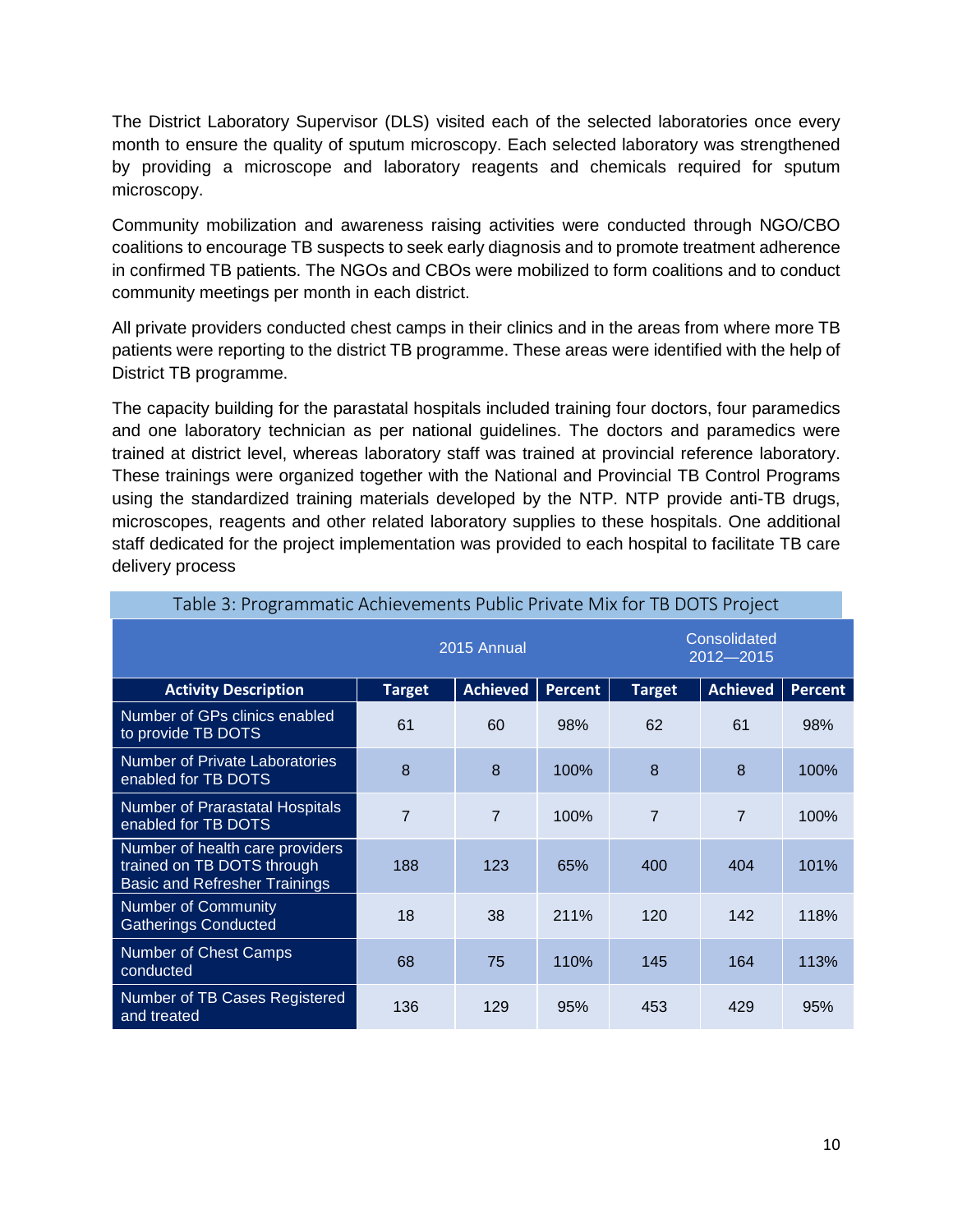The District Laboratory Supervisor (DLS) visited each of the selected laboratories once every month to ensure the quality of sputum microscopy. Each selected laboratory was strengthened by providing a microscope and laboratory reagents and chemicals required for sputum microscopy.

Community mobilization and awareness raising activities were conducted through NGO/CBO coalitions to encourage TB suspects to seek early diagnosis and to promote treatment adherence in confirmed TB patients. The NGOs and CBOs were mobilized to form coalitions and to conduct community meetings per month in each district.

All private providers conducted chest camps in their clinics and in the areas from where more TB patients were reporting to the district TB programme. These areas were identified with the help of District TB programme.

The capacity building for the parastatal hospitals included training four doctors, four paramedics and one laboratory technician as per national guidelines. The doctors and paramedics were trained at district level, whereas laboratory staff was trained at provincial reference laboratory. These trainings were organized together with the National and Provincial TB Control Programs using the standardized training materials developed by the NTP. NTP provide anti-TB drugs, microscopes, reagents and other related laboratory supplies to these hospitals. One additional staff dedicated for the project implementation was provided to each hospital to facilitate TB care delivery process

| . apre or reprairmination tomoromonto raphorminato mintror relevant opot                              |                |                 |         |                               |                 |                |  |
|-------------------------------------------------------------------------------------------------------|----------------|-----------------|---------|-------------------------------|-----------------|----------------|--|
|                                                                                                       |                | 2015 Annual     |         | Consolidated<br>$2012 - 2015$ |                 |                |  |
| <b>Activity Description</b>                                                                           | <b>Target</b>  | <b>Achieved</b> | Percent | <b>Target</b>                 | <b>Achieved</b> | <b>Percent</b> |  |
| Number of GPs clinics enabled<br>to provide TB DOTS                                                   | 61             | 60              | 98%     | 62                            | 61              | 98%            |  |
| Number of Private Laboratories<br>enabled for TB DOTS                                                 | 8              | 8               | 100%    | 8                             | 8               | 100%           |  |
| Number of Prarastatal Hospitals<br>enabled for TB DOTS                                                | $\overline{7}$ | $\overline{7}$  | 100%    | $\overline{7}$                | $\overline{7}$  | 100%           |  |
| Number of health care providers<br>trained on TB DOTS through<br><b>Basic and Refresher Trainings</b> | 188            | 123             | 65%     | 400                           | 404             | 101%           |  |
| <b>Number of Community</b><br><b>Gatherings Conducted</b>                                             | 18             | 38              | 211%    | 120                           | 142             | 118%           |  |
| Number of Chest Camps<br>conducted                                                                    | 68             | 75              | 110%    | 145                           | 164             | 113%           |  |
| Number of TB Cases Registered<br>and treated                                                          | 136            | 129             | 95%     | 453                           | 429             | 95%            |  |

**Table 3: Programmatic Achievements Public Private Mix for TB DOTS Project**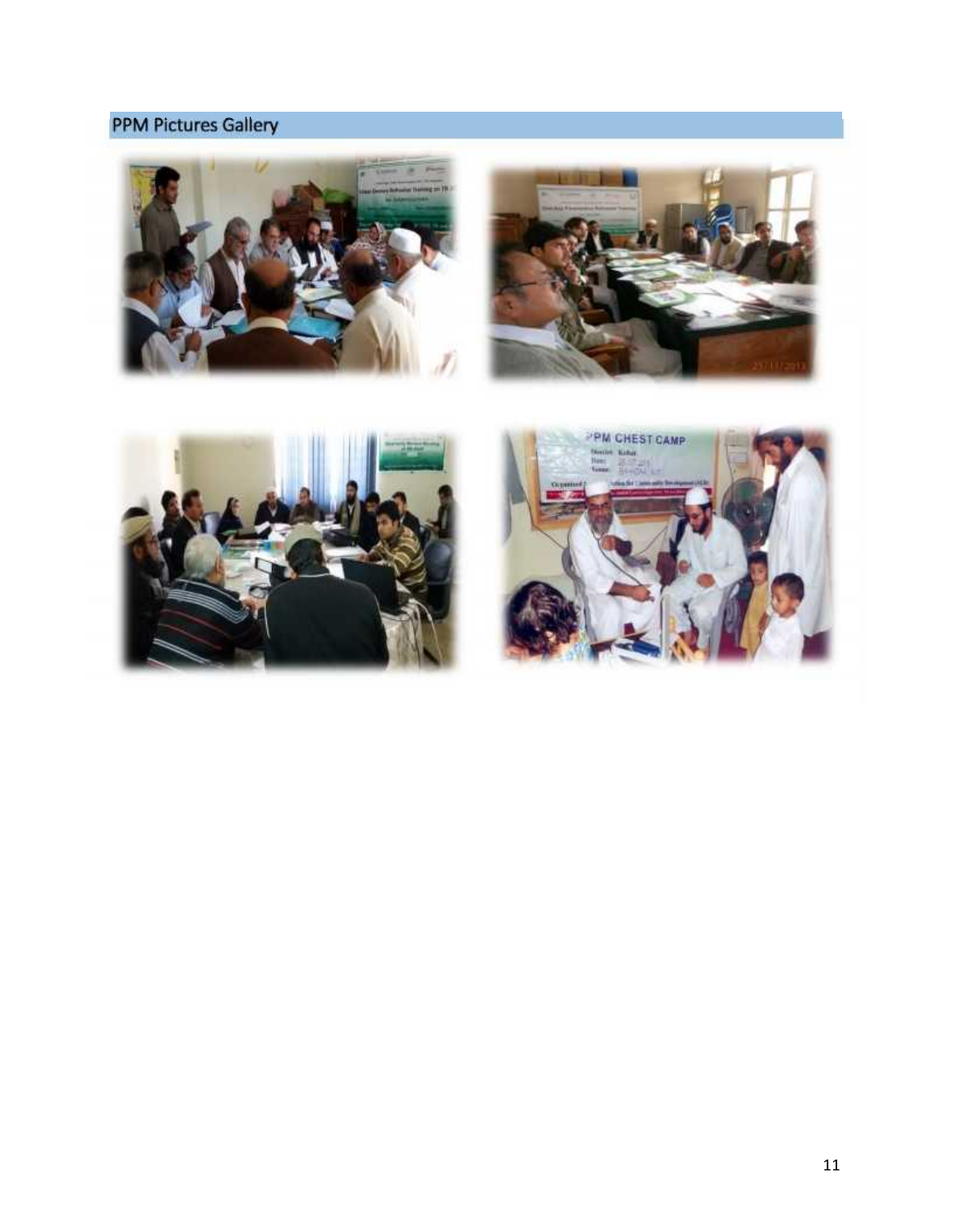### **PPM Pictures Gallery**







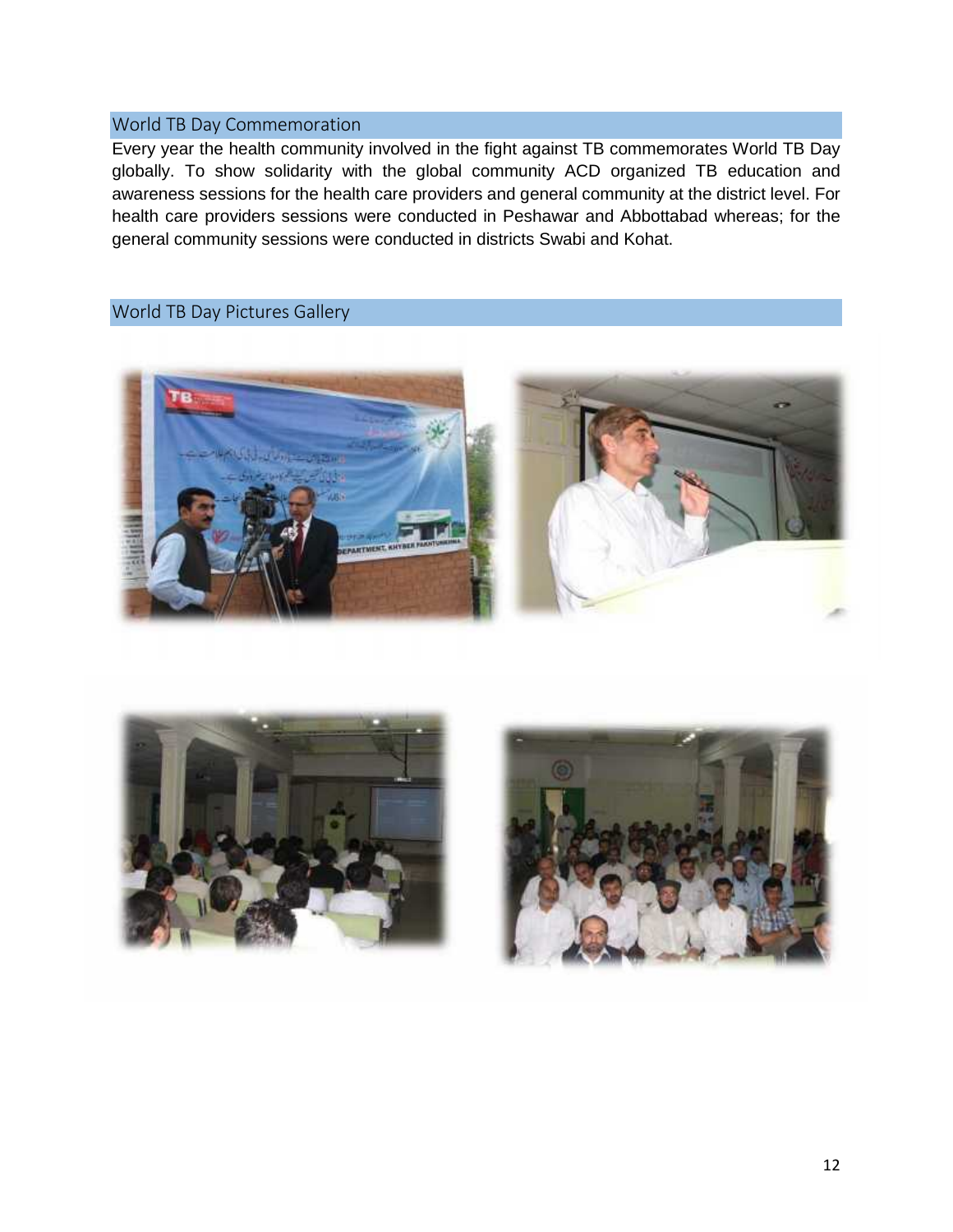### **World TB Day Commemoration**

Every year the health community involved in the fight against TB commemorates World TB Day globally. To show solidarity with the global community ACD organized TB education and awareness sessions for the health care providers and general community at the district level. For health care providers sessions were conducted in Peshawar and Abbottabad whereas; for the general community sessions were conducted in districts Swabi and Kohat.

### **World TB Day Pictures Gallery**





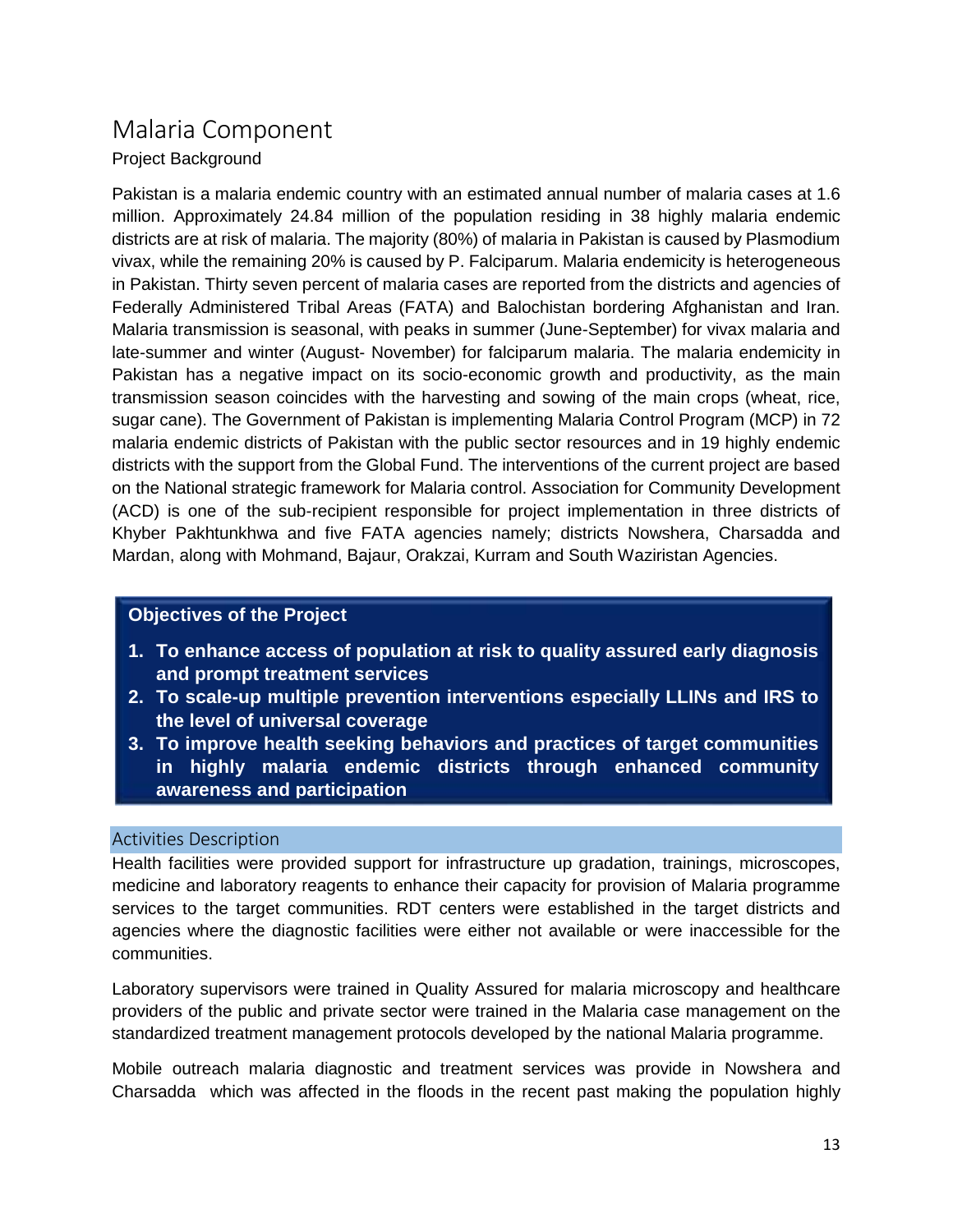### **Malaria Component**

### Project Background

Pakistan is a malaria endemic country with an estimated annual number of malaria cases at 1.6 million. Approximately 24.84 million of the population residing in 38 highly malaria endemic districts are at risk of malaria. The majority (80%) of malaria in Pakistan is caused by Plasmodium vivax, while the remaining 20% is caused by P. Falciparum. Malaria endemicity is heterogeneous in Pakistan. Thirty seven percent of malaria cases are reported from the districts and agencies of Federally Administered Tribal Areas (FATA) and Balochistan bordering Afghanistan and Iran. Malaria transmission is seasonal, with peaks in summer (June-September) for vivax malaria and late-summer and winter (August- November) for falciparum malaria. The malaria endemicity in Pakistan has a negative impact on its socio-economic growth and productivity, as the main transmission season coincides with the harvesting and sowing of the main crops (wheat, rice, sugar cane). The Government of Pakistan is implementing Malaria Control Program (MCP) in 72 malaria endemic districts of Pakistan with the public sector resources and in 19 highly endemic districts with the support from the Global Fund. The interventions of the current project are based on the National strategic framework for Malaria control. Association for Community Development (ACD) is one of the sub-recipient responsible for project implementation in three districts of Khyber Pakhtunkhwa and five FATA agencies namely; districts Nowshera, Charsadda and Mardan, along with Mohmand, Bajaur, Orakzai, Kurram and South Waziristan Agencies.

### **Objectives of the Project**

- **1. To enhance access of population at risk to quality assured early diagnosis and prompt treatment services**
- **2. To scale-up multiple prevention interventions especially LLINs and IRS to the level of universal coverage**
- **3. To improve health seeking behaviors and practices of target communities in highly malaria endemic districts through enhanced community awareness and participation**

### **Activities Description**

Health facilities were provided support for infrastructure up gradation, trainings, microscopes, medicine and laboratory reagents to enhance their capacity for provision of Malaria programme services to the target communities. RDT centers were established in the target districts and agencies where the diagnostic facilities were either not available or were inaccessible for the communities.

Laboratory supervisors were trained in Quality Assured for malaria microscopy and healthcare providers of the public and private sector were trained in the Malaria case management on the standardized treatment management protocols developed by the national Malaria programme.

Mobile outreach malaria diagnostic and treatment services was provide in Nowshera and Charsadda which was affected in the floods in the recent past making the population highly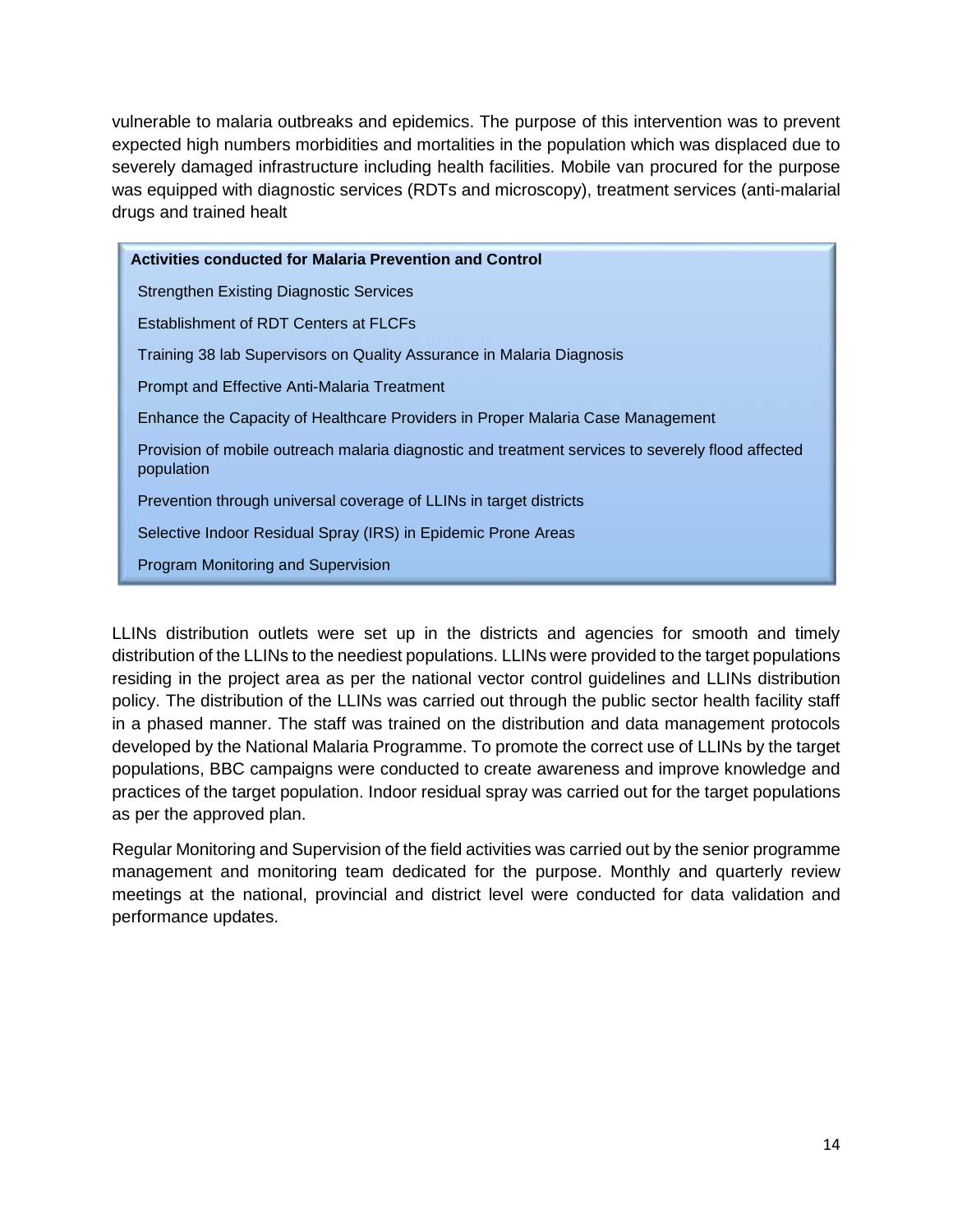vulnerable to malaria outbreaks and epidemics. The purpose of this intervention was to prevent expected high numbers morbidities and mortalities in the population which was displaced due to severely damaged infrastructure including health facilities. Mobile van procured for the purpose was equipped with diagnostic services (RDTs and microscopy), treatment services (anti-malarial drugs and trained healt

**Activities conducted for Malaria Prevention and Control** Strengthen Existing Diagnostic Services Establishment of RDT Centers at FLCFs Training 38 lab Supervisors on Quality Assurance in Malaria Diagnosis Prompt and Effective Anti-Malaria Treatment Enhance the Capacity of Healthcare Providers in Proper Malaria Case Management Provision of mobile outreach malaria diagnostic and treatment services to severely flood affected population Prevention through universal coverage of LLINs in target districts Selective Indoor Residual Spray (IRS) in Epidemic Prone Areas Program Monitoring and Supervision

LLINs distribution outlets were set up in the districts and agencies for smooth and timely distribution of the LLINs to the neediest populations. LLINs were provided to the target populations residing in the project area as per the national vector control guidelines and LLINs distribution policy. The distribution of the LLINs was carried out through the public sector health facility staff in a phased manner. The staff was trained on the distribution and data management protocols developed by the National Malaria Programme. To promote the correct use of LLINs by the target populations, BBC campaigns were conducted to create awareness and improve knowledge and practices of the target population. Indoor residual spray was carried out for the target populations as per the approved plan.

Regular Monitoring and Supervision of the field activities was carried out by the senior programme management and monitoring team dedicated for the purpose. Monthly and quarterly review meetings at the national, provincial and district level were conducted for data validation and performance updates.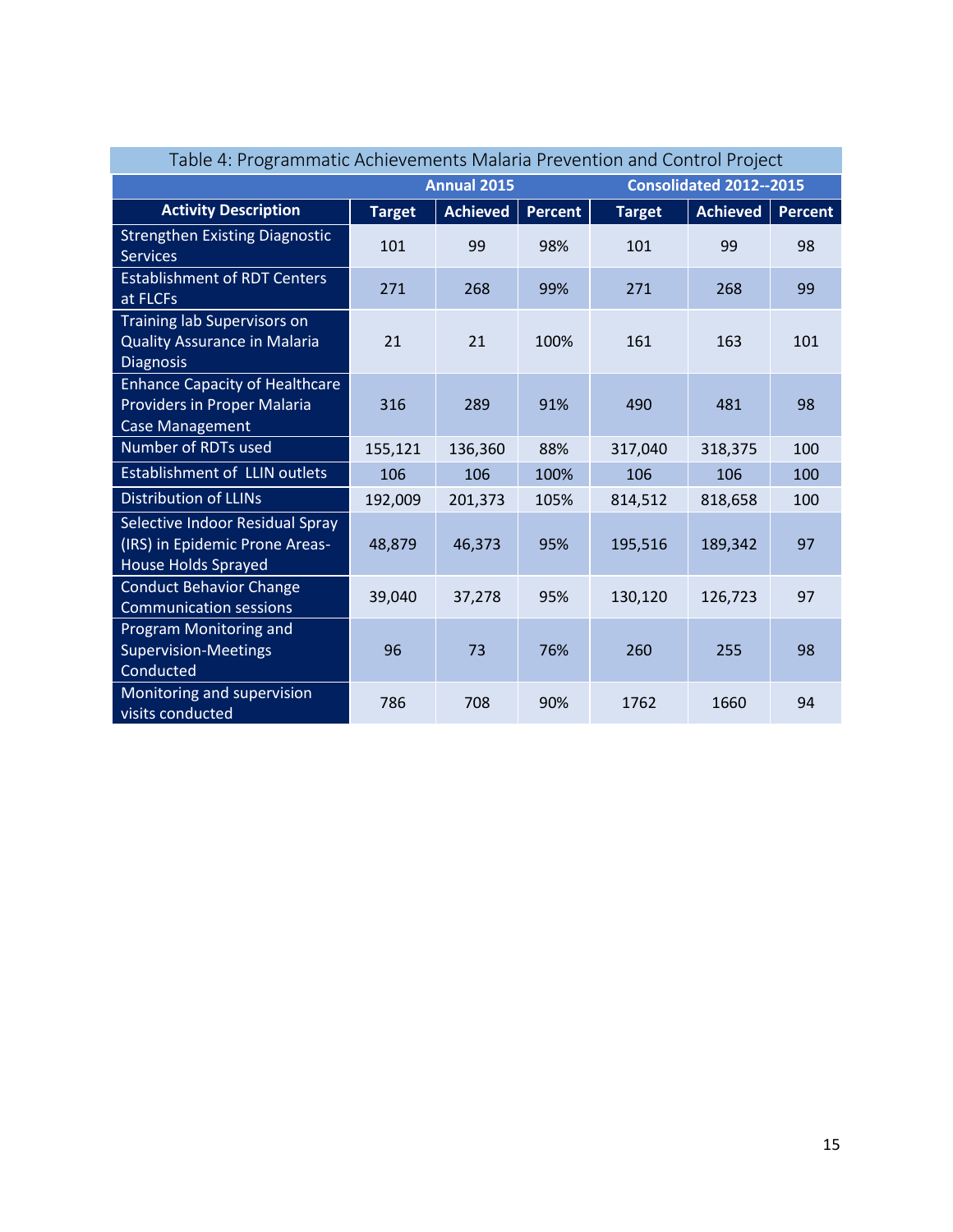| Table 4: Programmatic Achievements Malaria Prevention and Control Project                      |               |                 |                |               |                 |                |  |  |  |
|------------------------------------------------------------------------------------------------|---------------|-----------------|----------------|---------------|-----------------|----------------|--|--|--|
| Consolidated 2012--2015<br><b>Annual 2015</b>                                                  |               |                 |                |               |                 |                |  |  |  |
| <b>Activity Description</b>                                                                    | <b>Target</b> | <b>Achieved</b> | <b>Percent</b> | <b>Target</b> | <b>Achieved</b> | <b>Percent</b> |  |  |  |
| <b>Strengthen Existing Diagnostic</b><br><b>Services</b>                                       | 101           | 99              | 98%            | 101           | 99              | 98             |  |  |  |
| <b>Establishment of RDT Centers</b><br>at FLCFs                                                | 271           | 268             | 99%            | 271           | 268             | 99             |  |  |  |
| Training lab Supervisors on<br><b>Quality Assurance in Malaria</b><br><b>Diagnosis</b>         | 21            | 21              | 100%           | 161           | 163             | 101            |  |  |  |
| <b>Enhance Capacity of Healthcare</b><br>Providers in Proper Malaria<br><b>Case Management</b> | 316           | 289             | 91%            | 490           | 481             | 98             |  |  |  |
| Number of RDTs used                                                                            | 155,121       | 136,360         | 88%            | 317,040       | 318,375         | 100            |  |  |  |
| <b>Establishment of LLIN outlets</b>                                                           | 106           | 106             | 100%           | 106           | 106             | 100            |  |  |  |
| <b>Distribution of LLINs</b>                                                                   | 192,009       | 201,373         | 105%           | 814,512       | 818,658         | 100            |  |  |  |
| Selective Indoor Residual Spray<br>(IRS) in Epidemic Prone Areas-<br>House Holds Sprayed       | 48,879        | 46,373          | 95%            | 195,516       | 189,342         | 97             |  |  |  |
| <b>Conduct Behavior Change</b><br><b>Communication sessions</b>                                | 39,040        | 37,278          | 95%            | 130,120       | 126,723         | 97             |  |  |  |
| Program Monitoring and<br><b>Supervision-Meetings</b><br>Conducted                             | 96            | 73              | 76%            | 260           | 255             | 98             |  |  |  |
| Monitoring and supervision<br>visits conducted                                                 | 786           | 708             | 90%            | 1762          | 1660            | 94             |  |  |  |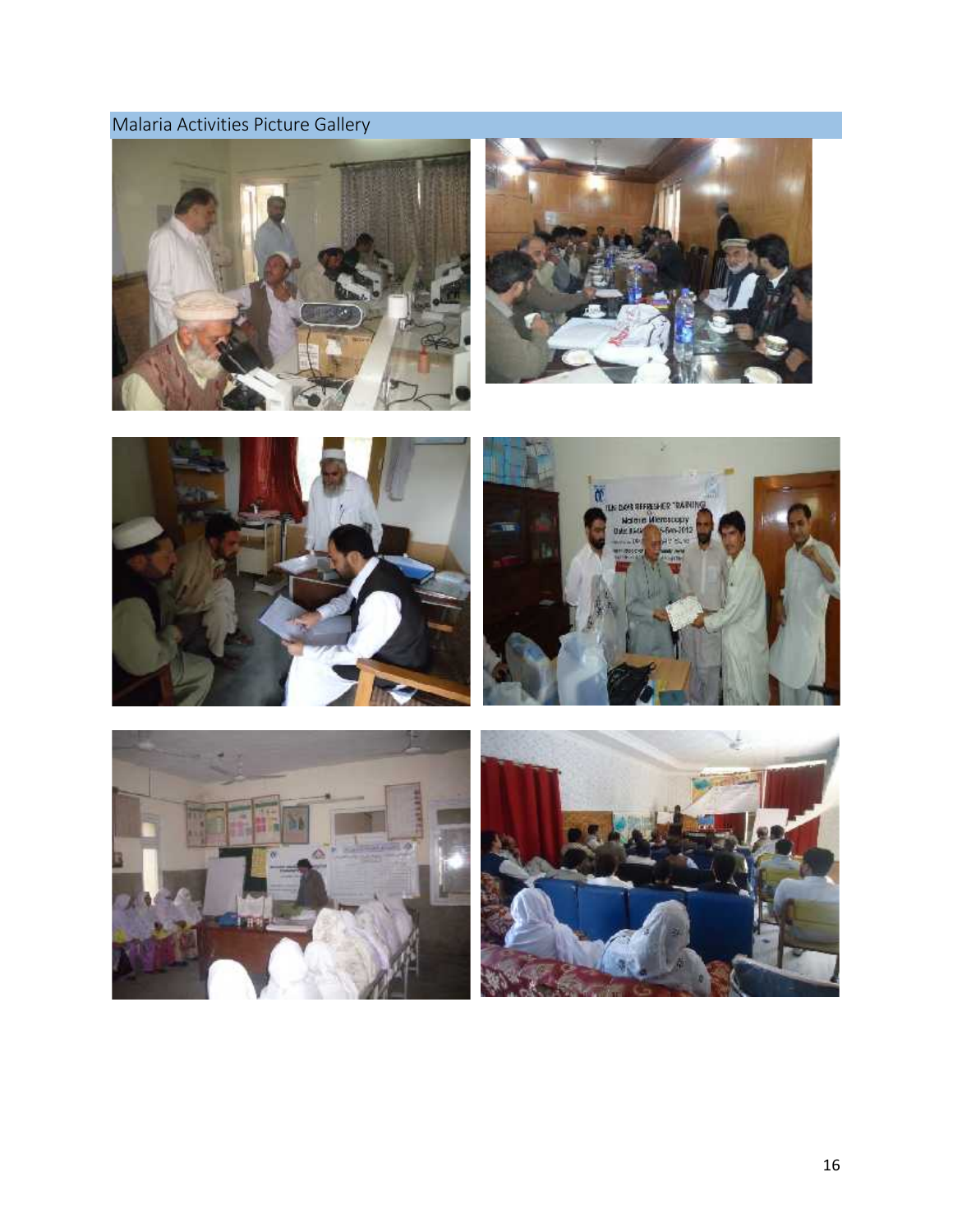### **Malaria Activities Picture Gallery**







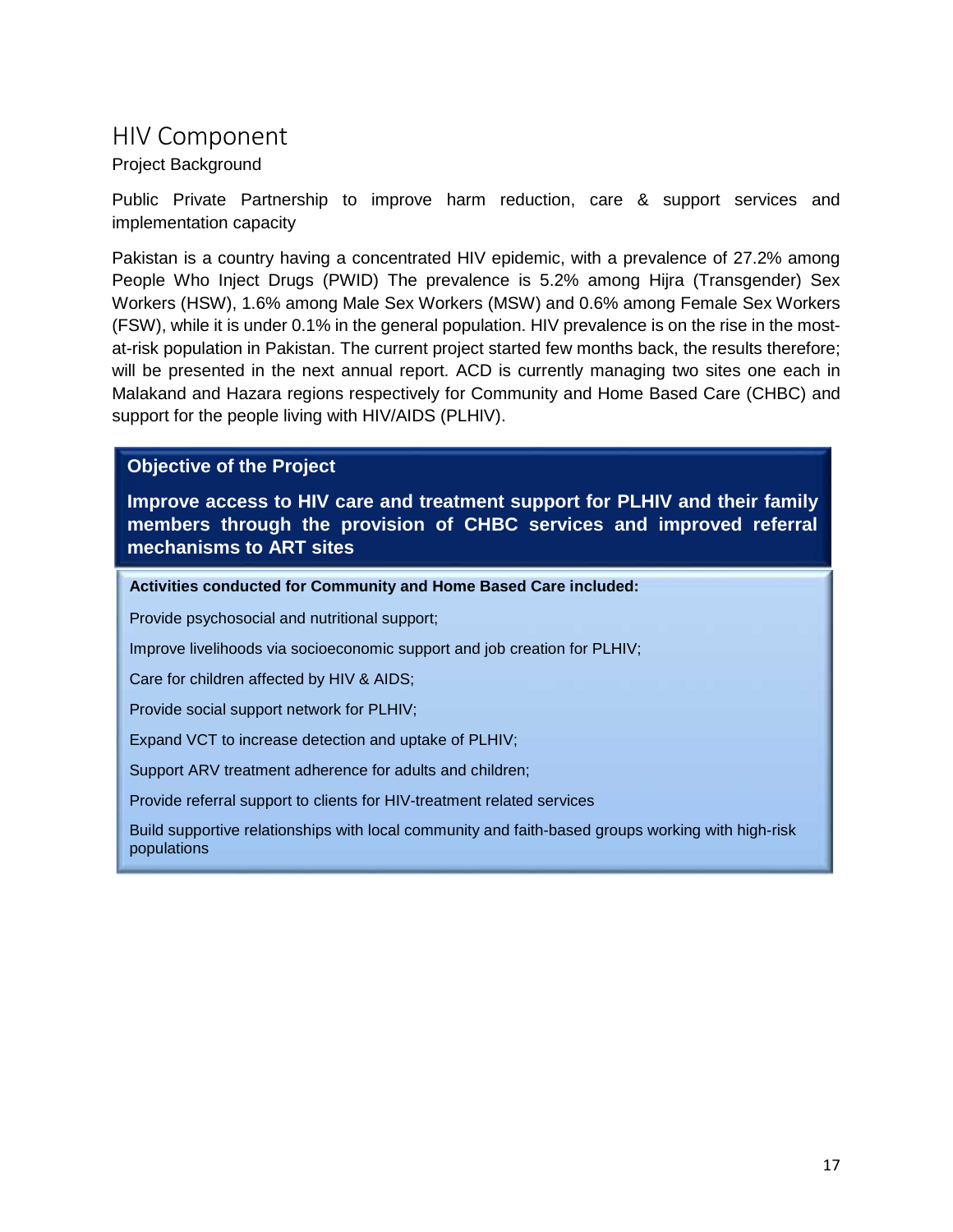### **HIV Component**

### Project Background

Public Private Partnership to improve harm reduction, care & support services and implementation capacity

Pakistan is a country having a concentrated HIV epidemic, with a prevalence of 27.2% among People Who Inject Drugs (PWID) The prevalence is 5.2% among Hijra (Transgender) Sex Workers (HSW), 1.6% among Male Sex Workers (MSW) and 0.6% among Female Sex Workers (FSW), while it is under 0.1% in the general population. HIV prevalence is on the rise in the most at-risk population in Pakistan. The current project started few months back, the results therefore; will be presented in the next annual report. ACD is currently managing two sites one each in Malakand and Hazara regions respectively for Community and Home Based Care (CHBC) and support for the people living with HIV/AIDS (PLHIV).

### **Objective of the Project**

**Improve access to HIV care and treatment support for PLHIV and their family members through the provision of CHBC services and improved referral mechanisms to ART sites**

**Activities conducted for Community and Home Based Care included:**

Provide psychosocial and nutritional support;

Improve livelihoods via socioeconomic support and job creation for PLHIV;

Care for children affected by HIV & AIDS;

Provide social support network for PLHIV;

Expand VCT to increase detection and uptake of PLHIV;

Support ARV treatment adherence for adults and children;

Provide referral support to clients for HIV-treatment related services

Build supportive relationships with local community and faith-based groups working with high-risk populations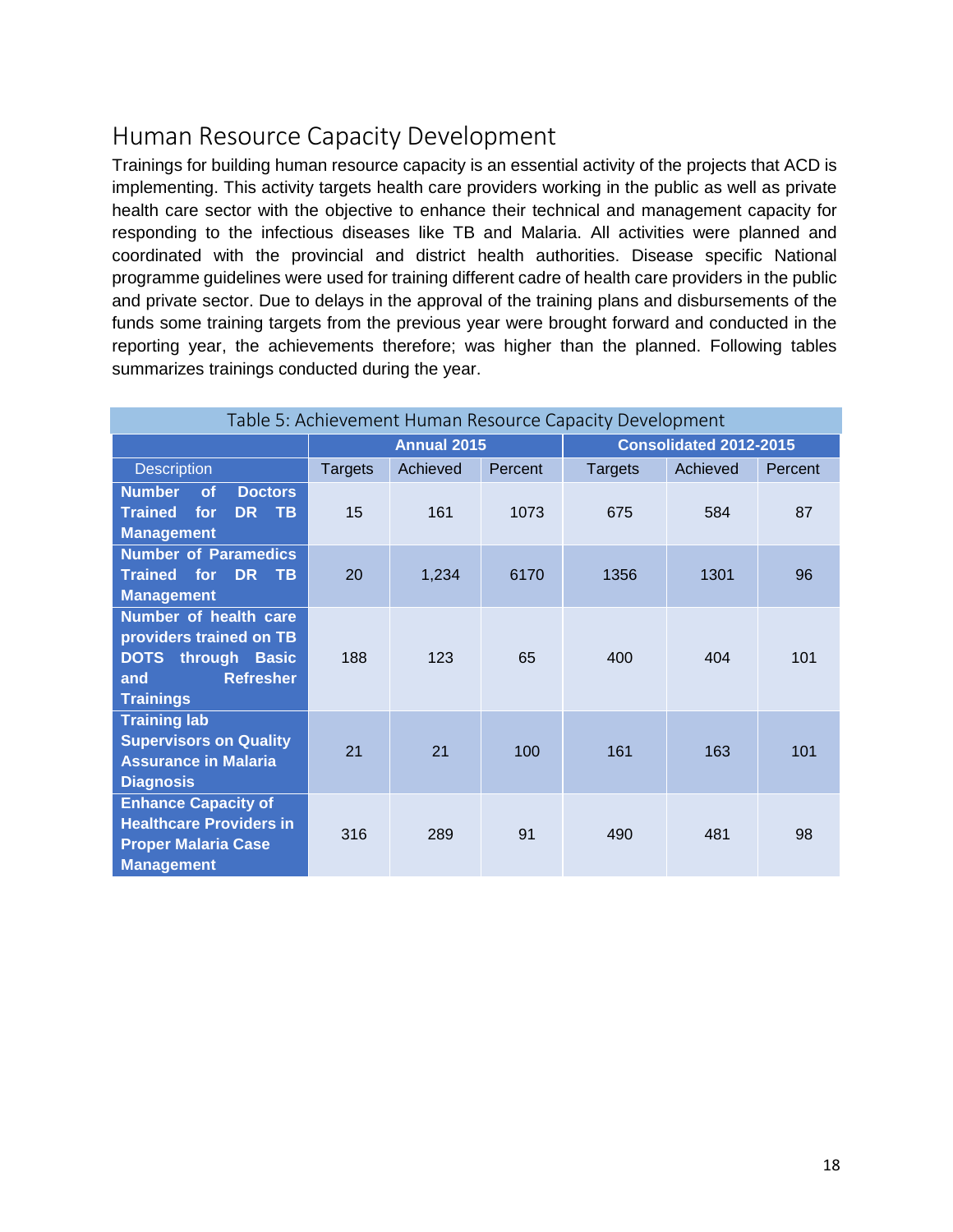# **Human Resource Capacity Development**

Trainings for building human resource capacity is an essential activity of the projects that ACD is implementing. This activity targets health care providers working in the public as well as private health care sector with the objective to enhance their technical and management capacity for responding to the infectious diseases like TB and Malaria. All activities were planned and coordinated with the provincial and district health authorities. Disease specific National programme guidelines were used for training different cadre of health care providers in the public and private sector. Due to delays in the approval of the training plans and disbursements of the funds some training targets from the previous year were brought forward and conducted in the reporting year, the achievements therefore; was higher than the planned. Following tables summarizes trainings conducted during the year.

| Table 5: Achievement Human Resource Capacity Development                                                                     |                |                    |         |                        |          |         |  |  |  |  |
|------------------------------------------------------------------------------------------------------------------------------|----------------|--------------------|---------|------------------------|----------|---------|--|--|--|--|
|                                                                                                                              |                | <b>Annual 2015</b> |         | Consolidated 2012-2015 |          |         |  |  |  |  |
| <b>Description</b>                                                                                                           | <b>Targets</b> | Achieved           | Percent | Targets                | Achieved | Percent |  |  |  |  |
| <b>Number</b><br><b>of</b><br><b>Doctors</b><br>for<br>DR TB<br><b>Trained</b><br><b>Management</b>                          | 15             | 161                | 1073    | 675                    | 584      | 87      |  |  |  |  |
| <b>Number of Paramedics</b><br><b>Trained</b> for<br>DR.<br>$T_{\rm B}$<br><b>Management</b>                                 | 20             | 1,234              | 6170    | 1356                   | 1301     | 96      |  |  |  |  |
| Number of health care<br>providers trained on TB<br><b>DOTS</b> through Basic<br><b>Refresher</b><br>and<br><b>Trainings</b> | 188            | 123                | 65      | 400                    | 404      | 101     |  |  |  |  |
| <b>Training lab</b><br><b>Supervisors on Quality</b><br><b>Assurance in Malaria</b><br><b>Diagnosis</b>                      | 21             | 21                 | 100     | 161                    | 163      | 101     |  |  |  |  |
| <b>Enhance Capacity of</b><br><b>Healthcare Providers in</b><br><b>Proper Malaria Case</b><br><b>Management</b>              | 316            | 289                | 91      | 490                    | 481      | 98      |  |  |  |  |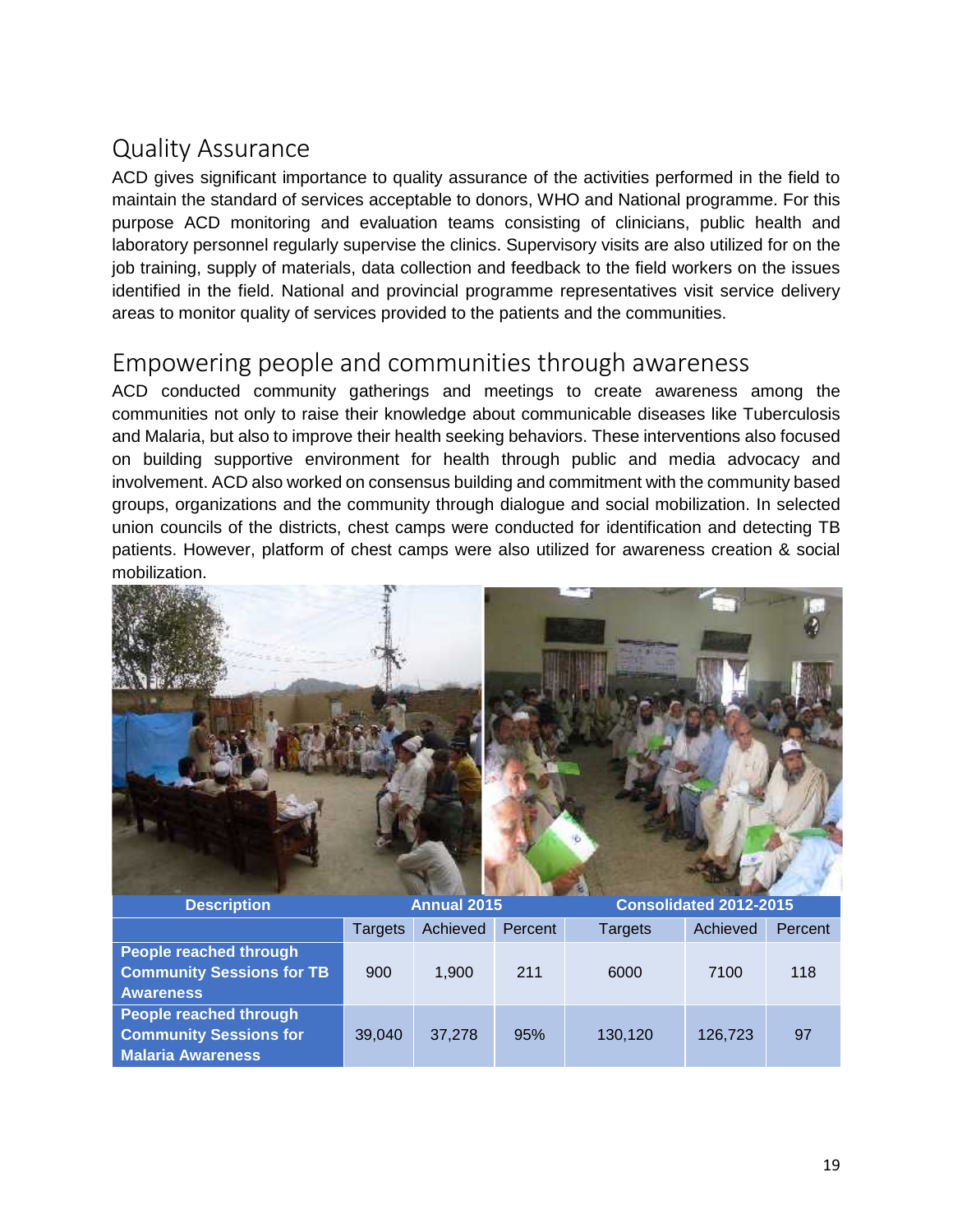# **Quality Assurance**

ACD gives significant importance to quality assurance of the activities performed in the field to maintain the standard of services acceptable to donors, WHO and National programme. For this purpose ACD monitoring and evaluation teams consisting of clinicians, public health and laboratory personnel regularly supervise the clinics. Supervisory visits are also utilized for on the job training, supply of materials, data collection and feedback to the field workers on the issues identified in the field. National and provincial programme representatives visit service delivery areas to monitor quality of services provided to the patients and the communities.

### **Empowering people and communities through awareness**

ACD conducted community gatherings and meetings to create awareness among the communities not only to raise their knowledge about communicable diseases like Tuberculosis and Malaria, but also to improve their health seeking behaviors. These interventions also focused on building supportive environment for health through public and media advocacy and involvement. ACD also worked on consensus building and commitment with the community based groups, organizations and the community through dialogue and social mobilization. In selected union councils of the districts, chest camps were conducted for identification and detecting TB patients. However, platform of chest camps were also utilized for awareness creation & social mobilization.



| <b>Description</b>                                                                    |         | <b>Annual 2015</b> |         | Consolidated 2012-2015 |          |         |  |
|---------------------------------------------------------------------------------------|---------|--------------------|---------|------------------------|----------|---------|--|
|                                                                                       | Targets | Achieved           | Percent | <b>Targets</b>         | Achieved | Percent |  |
| <b>People reached through</b><br><b>Community Sessions for TB</b><br><b>Awareness</b> | 900     | 1.900              | 211     | 6000                   | 7100     | 118     |  |
| People reached through<br><b>Community Sessions for</b><br><b>Malaria Awareness</b>   | 39,040  | 37,278             | 95%     | 130,120                | 126,723  | 97      |  |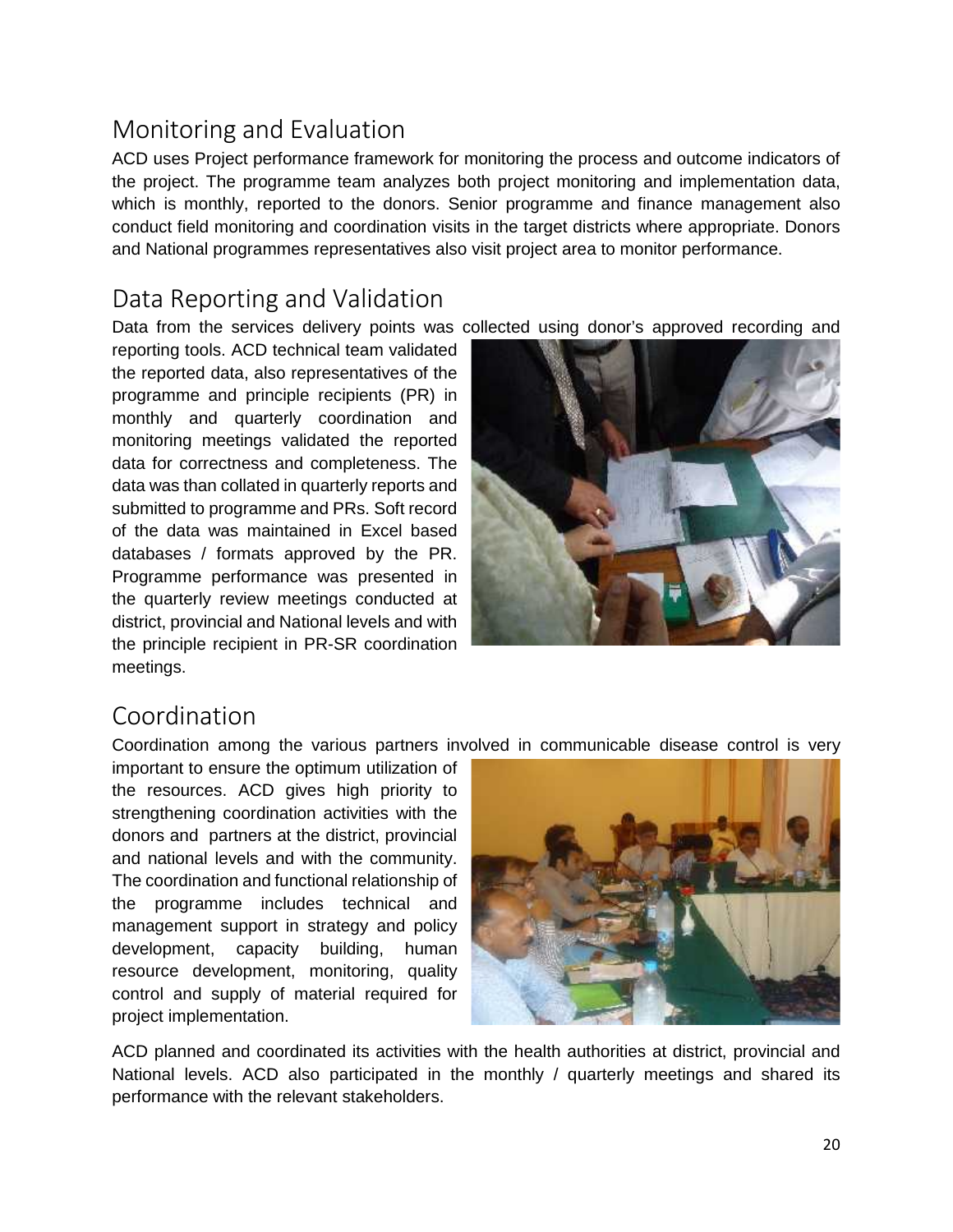## **Monitoring and Evaluation**

ACD uses Project performance framework for monitoring the process and outcome indicators of the project. The programme team analyzes both project monitoring and implementation data, which is monthly, reported to the donors. Senior programme and finance management also conduct field monitoring and coordination visits in the target districts where appropriate. Donors and National programmes representatives also visit project area to monitor performance.

### **Data Reporting and Validation**

Data from the services delivery points was collected using donor's approved recording and

reporting tools. ACD technical team validated the reported data, also representatives of the programme and principle recipients (PR) in monthly and quarterly coordination and monitoring meetings validated the reported data for correctness and completeness. The data was than collated in quarterly reports and submitted to programme and PRs. Soft record of the data was maintained in Excel based databases / formats approved by the PR. Programme performance was presented in the quarterly review meetings conducted at district, provincial and National levels and with the principle recipient in PR-SR coordination meetings.



### **Coordination**

Coordination among the various partners involved in communicable disease control is very

important to ensure the optimum utilization of the resources. ACD gives high priority to strengthening coordination activities with the donors and partners at the district, provincial and national levels and with the community. The coordination and functional relationship of the programme includes technical and management support in strategy and policy development, capacity building, human resource development, monitoring, quality control and supply of material required for project implementation.



ACD planned and coordinated its activities with the health authorities at district, provincial and National levels. ACD also participated in the monthly / quarterly meetings and shared its performance with the relevant stakeholders.